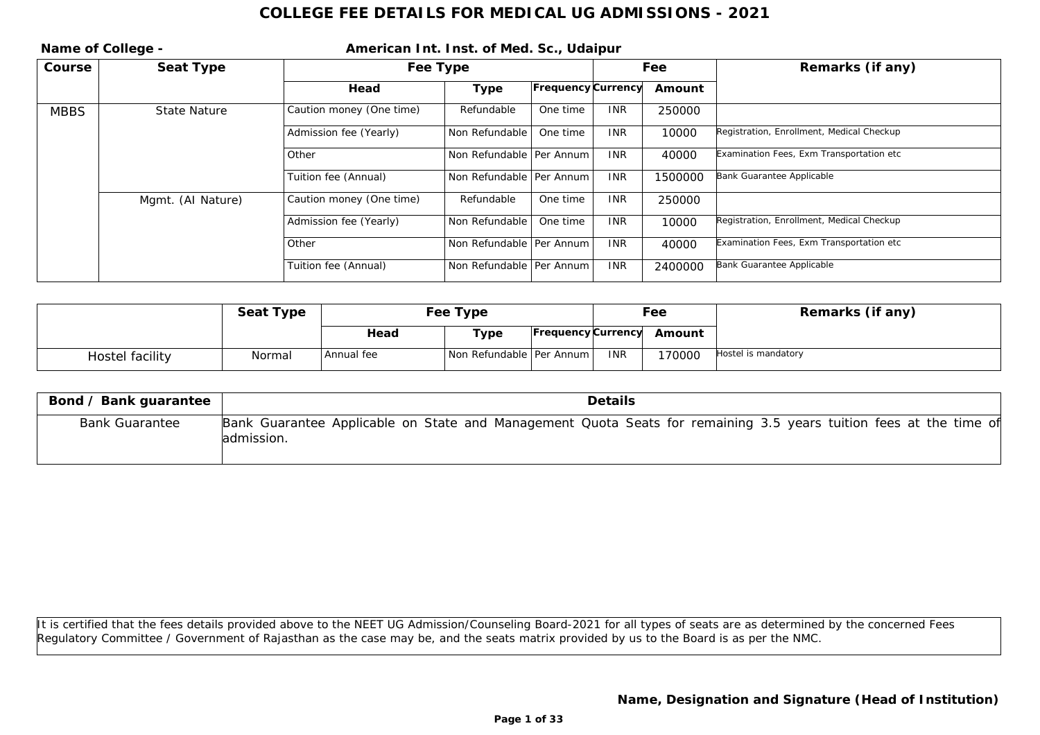|             | Name of College - | American Int. Inst. of Med. Sc., Udaipur |                            |                           |            |         |                                           |
|-------------|-------------------|------------------------------------------|----------------------------|---------------------------|------------|---------|-------------------------------------------|
| Course      | Seat Type         |                                          | Fee Type                   |                           |            | Fee     | Remarks (if any)                          |
|             |                   | Head                                     | Type                       | <b>Frequency Currency</b> |            | Amount  |                                           |
| <b>MBBS</b> | State Nature      | Caution money (One time)                 | Refundable                 | One time                  | <b>INR</b> | 250000  |                                           |
|             |                   | Admission fee (Yearly)                   | Non Refundable             | One time                  | <b>INR</b> | 10000   | Registration, Enrollment, Medical Checkup |
|             |                   | Other                                    | Non Refundable   Per Annum |                           | <b>INR</b> | 40000   | Examination Fees, Exm Transportation etc  |
|             |                   | Tuition fee (Annual)                     | Non Refundable   Per Annum |                           | <b>INR</b> | 1500000 | Bank Guarantee Applicable                 |
|             | Mgmt. (AI Nature) | Caution money (One time)                 | Refundable                 | One time                  | <b>INR</b> | 250000  |                                           |
|             |                   | Admission fee (Yearly)                   | Non Refundable             | One time                  | <b>INR</b> | 10000   | Registration, Enrollment, Medical Checkup |
|             |                   | l Other                                  | Non Refundable   Per Annum |                           | <b>INR</b> | 40000   | Examination Fees, Exm Transportation etc  |
|             |                   | Tuition fee (Annual)                     | Non Refundable   Per Annum |                           | <b>INR</b> | 2400000 | Bank Guarantee Applicable                 |

|                 | Seat Type | Fee Type   |                            |  |            | Fee                       | Remarks (if any)    |
|-----------------|-----------|------------|----------------------------|--|------------|---------------------------|---------------------|
|                 |           | Head       | Type                       |  |            | Frequency Currency Amount |                     |
| Hostel facility | Normal    | Annual fee | Non Refundable   Per Annum |  | <b>INR</b> | 70000                     | Hostel is mandatory |

| Bond / Bank guarantee | Details                                                                                                                          |
|-----------------------|----------------------------------------------------------------------------------------------------------------------------------|
| <b>Bank Guarantee</b> | Bank Guarantee Applicable on State and Management Quota Seats for remaining 3.5 years tuition fees at the time of<br>ladmission. |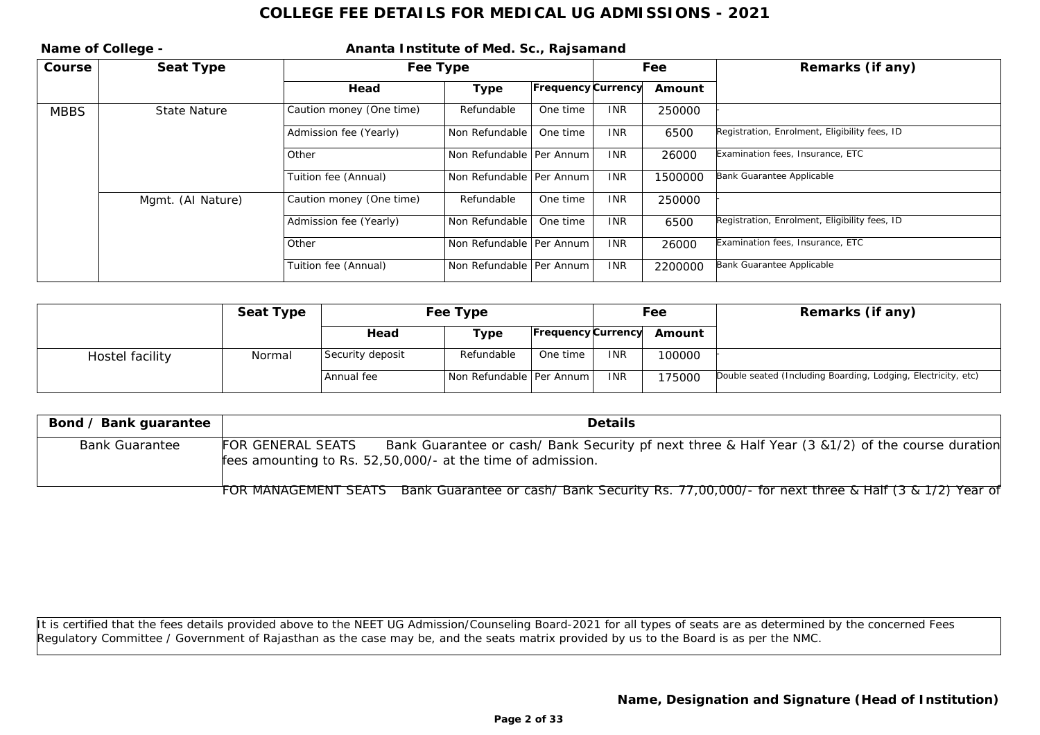| Name of College - |                   | Ananta Institute of Med. Sc., Rajsamand |                            |                           |            |         |                                               |
|-------------------|-------------------|-----------------------------------------|----------------------------|---------------------------|------------|---------|-----------------------------------------------|
| Course            | Seat Type         |                                         | Fee Type                   |                           |            | Fee     | Remarks (if any)                              |
|                   |                   | Head                                    | Type                       | <b>Frequency Currency</b> |            | Amount  |                                               |
| <b>MBBS</b>       | State Nature      | Caution money (One time)                | Refundable                 | One time                  | <b>INR</b> | 250000  |                                               |
|                   |                   | Admission fee (Yearly)                  | Non Refundable             | One time                  | <b>INR</b> | 6500    | Registration, Enrolment, Eligibility fees, ID |
|                   |                   | l Other                                 | Non Refundable   Per Annum |                           | <b>INR</b> | 26000   | Examination fees, Insurance, ETC              |
|                   |                   | Tuition fee (Annual)                    | Non Refundable   Per Annum |                           | <b>INR</b> | 1500000 | Bank Guarantee Applicable                     |
|                   | Mgmt. (AI Nature) | Caution money (One time)                | Refundable                 | One time                  | <b>INR</b> | 250000  |                                               |
|                   |                   | Admission fee (Yearly)                  | Non Refundable             | One time                  | <b>INR</b> | 6500    | Registration, Enrolment, Eligibility fees, ID |
|                   |                   | l Other                                 | Non Refundable   Per Annum |                           | <b>INR</b> | 26000   | Examination fees, Insurance, ETC              |
|                   |                   | Tuition fee (Annual)                    | Non Refundable   Per Annum |                           | <b>INR</b> | 2200000 | Bank Guarantee Applicable                     |

|                 | Seat Type | Fee Type         |                                |                    | Fee        |        | Remarks (if any)                                              |
|-----------------|-----------|------------------|--------------------------------|--------------------|------------|--------|---------------------------------------------------------------|
|                 |           | Head             | Type                           | Frequency Currency |            | Amount |                                                               |
| Hostel facility | Normal    | Security deposit | Refundable                     | One time           | <b>INR</b> | 100000 |                                                               |
|                 |           | Annual fee       | l Non Refundable I Per Annum I |                    | <b>INR</b> | 175000 | Double seated (Including Boarding, Lodging, Electricity, etc) |

| Bond / Bank guarantee | Details                                                                                                                                                                              |
|-----------------------|--------------------------------------------------------------------------------------------------------------------------------------------------------------------------------------|
| <b>Bank Guarantee</b> | Bank Guarantee or cash/ Bank Security pf next three & Half Year (3 & 1/2) of the course duration<br>FOR GENERAL SEATS<br>fees amounting to Rs. 52,50,000/- at the time of admission. |
|                       | FOR MANAGEMENT SEATS Bank Guarantee or cash/Bank Security Rs. 77,00,000/- for next three & Half (3 & 1/2) Year of                                                                    |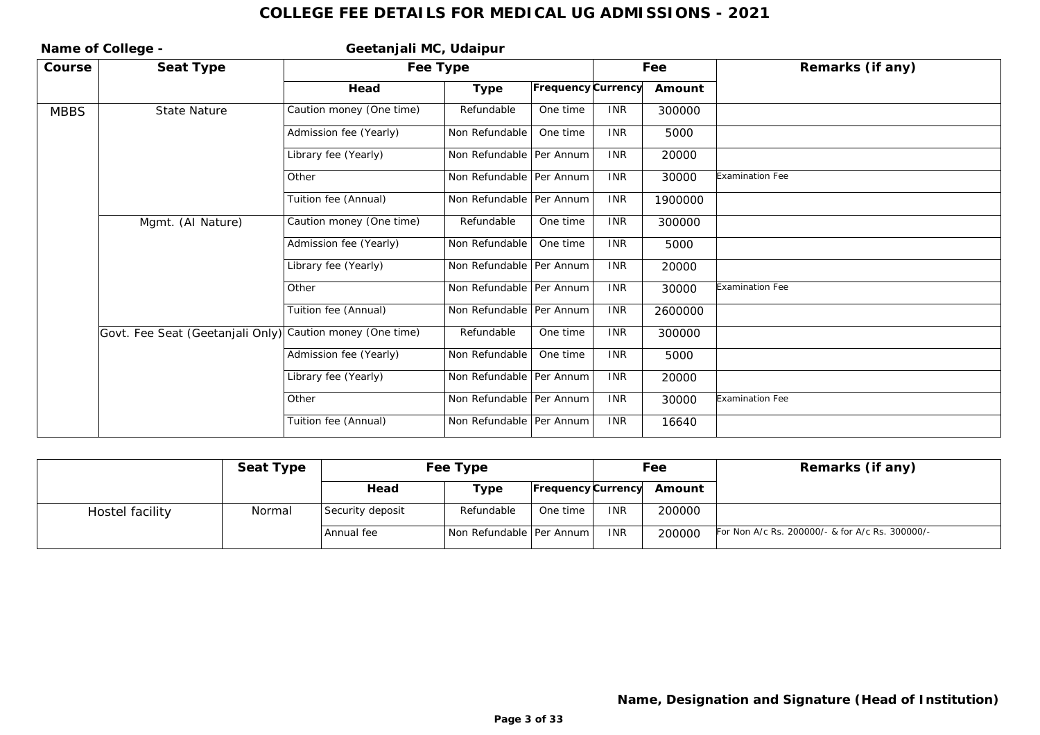| Name of College - |                                  | Geetanjali MC, Udaipur   |                            |                    |            |         |                  |
|-------------------|----------------------------------|--------------------------|----------------------------|--------------------|------------|---------|------------------|
| Course            | Seat Type                        | Fee Type                 |                            |                    |            | Fee     | Remarks (if any) |
|                   |                                  | Head                     | Type                       | Frequency Currency |            | Amount  |                  |
| <b>MBBS</b>       | <b>State Nature</b>              | Caution money (One time) | Refundable                 | One time           | <b>INR</b> | 300000  |                  |
|                   |                                  | Admission fee (Yearly)   | Non Refundable             | One time           | <b>INR</b> | 5000    |                  |
|                   |                                  | Library fee (Yearly)     | Non Refundable   Per Annum |                    | <b>INR</b> | 20000   |                  |
|                   |                                  | Other                    | Non Refundable   Per Annum |                    | <b>INR</b> | 30000   | Examination Fee  |
|                   |                                  | Tuition fee (Annual)     | Non Refundable   Per Annum |                    | <b>INR</b> | 1900000 |                  |
|                   | Mgmt. (Al Nature)                | Caution money (One time) | Refundable                 | One time           | <b>INR</b> | 300000  |                  |
|                   |                                  | Admission fee (Yearly)   | Non Refundable             | One time           | <b>INR</b> | 5000    |                  |
|                   |                                  | Library fee (Yearly)     | Non Refundable   Per Annum |                    | <b>INR</b> | 20000   |                  |
|                   |                                  | Other                    | Non Refundable   Per Annum |                    | <b>INR</b> | 30000   | Examination Fee  |
|                   |                                  | Tuition fee (Annual)     | Non Refundable   Per Annum |                    | <b>INR</b> | 2600000 |                  |
|                   | Govt. Fee Seat (Geetanjali Only) | Caution money (One time) | Refundable                 | One time           | <b>INR</b> | 300000  |                  |
|                   |                                  | Admission fee (Yearly)   | Non Refundable             | One time           | <b>INR</b> | 5000    |                  |
|                   |                                  | Library fee (Yearly)     | Non Refundable   Per Annum |                    | <b>INR</b> | 20000   |                  |
|                   |                                  | Other                    | Non Refundable   Per Annum |                    | <b>INR</b> | 30000   | Examination Fee  |
|                   |                                  | Tuition fee (Annual)     | Non Refundable   Per Annum |                    | <b>INR</b> | 16640   |                  |

|                 | Seat Type | Fee Type         |                            |          | Fee        |                           | Remarks (if any)                                |
|-----------------|-----------|------------------|----------------------------|----------|------------|---------------------------|-------------------------------------------------|
|                 |           | Head             | Type                       |          |            | Frequency Currency Amount |                                                 |
| Hostel facility | Normal    | Security deposit | Refundable                 | One time | <b>INR</b> | 200000                    |                                                 |
|                 |           | Annual fee       | Non Refundable   Per Annum |          | <b>INR</b> | 200000                    | For Non A/c Rs. 200000/- & for A/c Rs. 300000/- |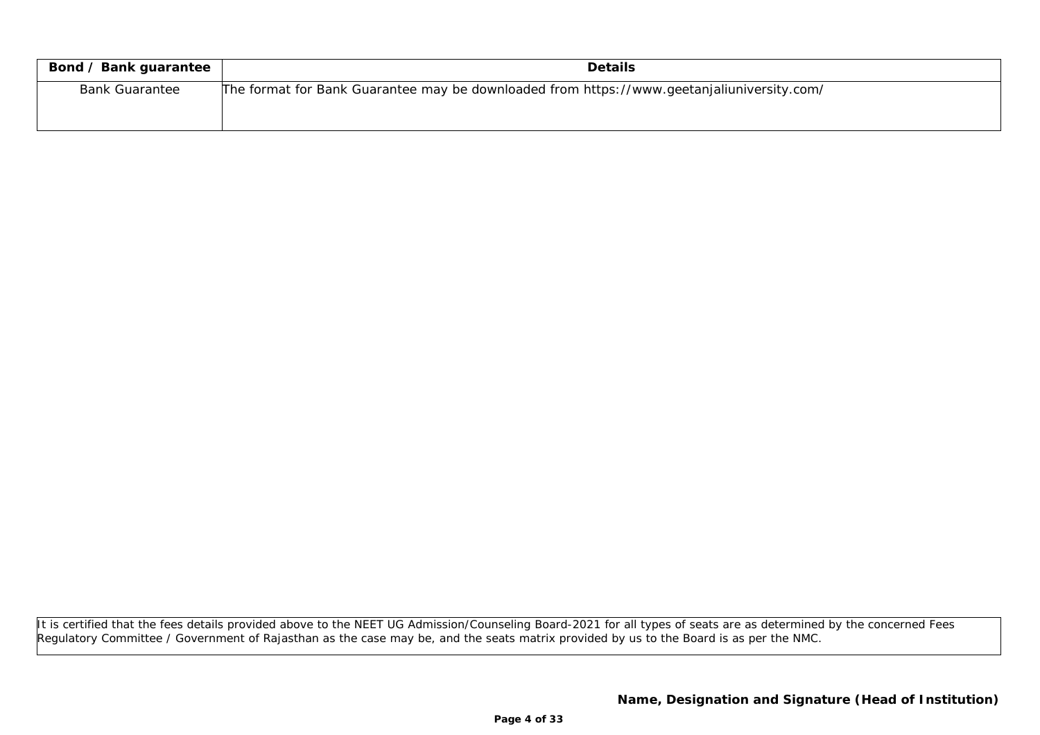| Bond / Bank guarantee | <b>Details</b>                                                                             |
|-----------------------|--------------------------------------------------------------------------------------------|
| <b>Bank Guarantee</b> | The format for Bank Guarantee may be downloaded from https://www.geetanjaliuniversity.com/ |
|                       |                                                                                            |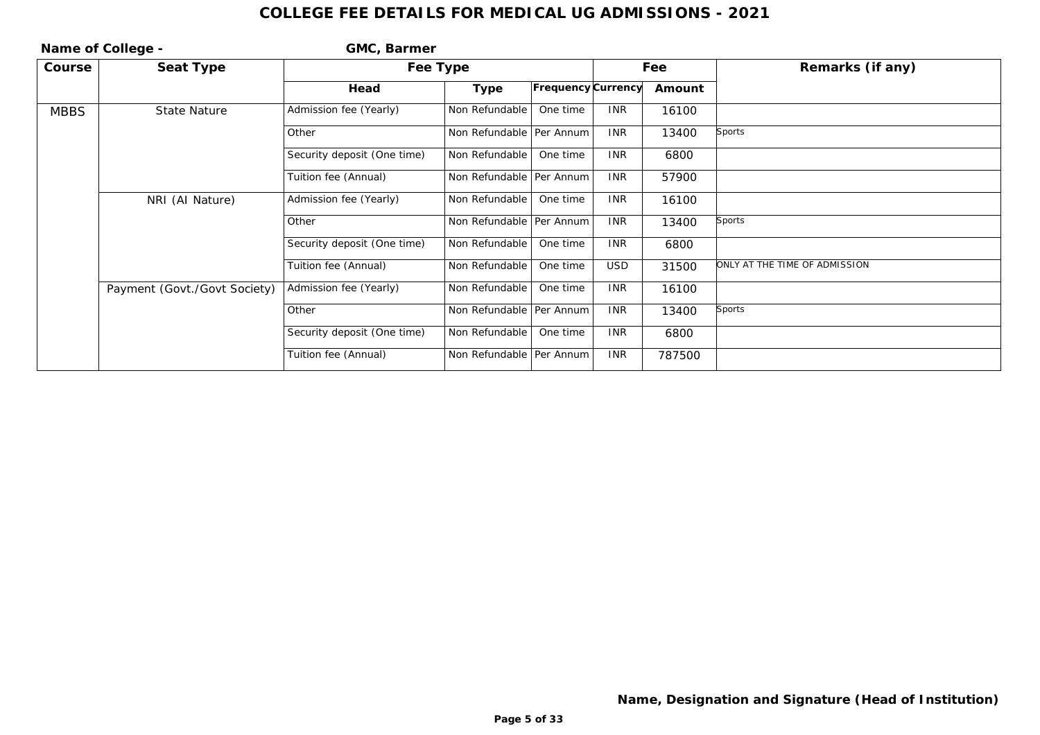| Name of College - |                              | GMC, Barmer                 |                            |                    |            |                  |                               |
|-------------------|------------------------------|-----------------------------|----------------------------|--------------------|------------|------------------|-------------------------------|
| Course            | Seat Type                    | Fee Type                    |                            |                    | Fee        | Remarks (if any) |                               |
|                   |                              | Head                        | Type                       | Frequency Currency |            | Amount           |                               |
| <b>MBBS</b>       | State Nature                 | Admission fee (Yearly)      | Non Refundable             | One time           | <b>INR</b> | 16100            |                               |
|                   |                              | Other                       | Non Refundable   Per Annum |                    | <b>INR</b> | 13400            | <b>Sports</b>                 |
|                   |                              | Security deposit (One time) | Non Refundable             | One time           | <b>INR</b> | 6800             |                               |
|                   |                              | Tuition fee (Annual)        | Non Refundable   Per Annum |                    | <b>INR</b> | 57900            |                               |
|                   | NRI (AI Nature)              | Admission fee (Yearly)      | Non Refundable             | One time           | <b>INR</b> | 16100            |                               |
|                   |                              | Other                       | Non Refundable   Per Annum |                    | <b>INR</b> | 13400            | <b>Sports</b>                 |
|                   |                              | Security deposit (One time) | Non Refundable             | One time           | <b>INR</b> | 6800             |                               |
|                   |                              | Tuition fee (Annual)        | Non Refundable             | One time           | <b>USD</b> | 31500            | ONLY AT THE TIME OF ADMISSION |
|                   | Payment (Govt./Govt Society) | Admission fee (Yearly)      | Non Refundable             | One time           | <b>INR</b> | 16100            |                               |
|                   |                              | Other                       | Non Refundable   Per Annum |                    | <b>INR</b> | 13400            | Sports                        |
|                   |                              | Security deposit (One time) | Non Refundable             | One time           | <b>INR</b> | 6800             |                               |
|                   |                              | Tuition fee (Annual)        | Non Refundable   Per Annum |                    | <b>INR</b> | 787500           |                               |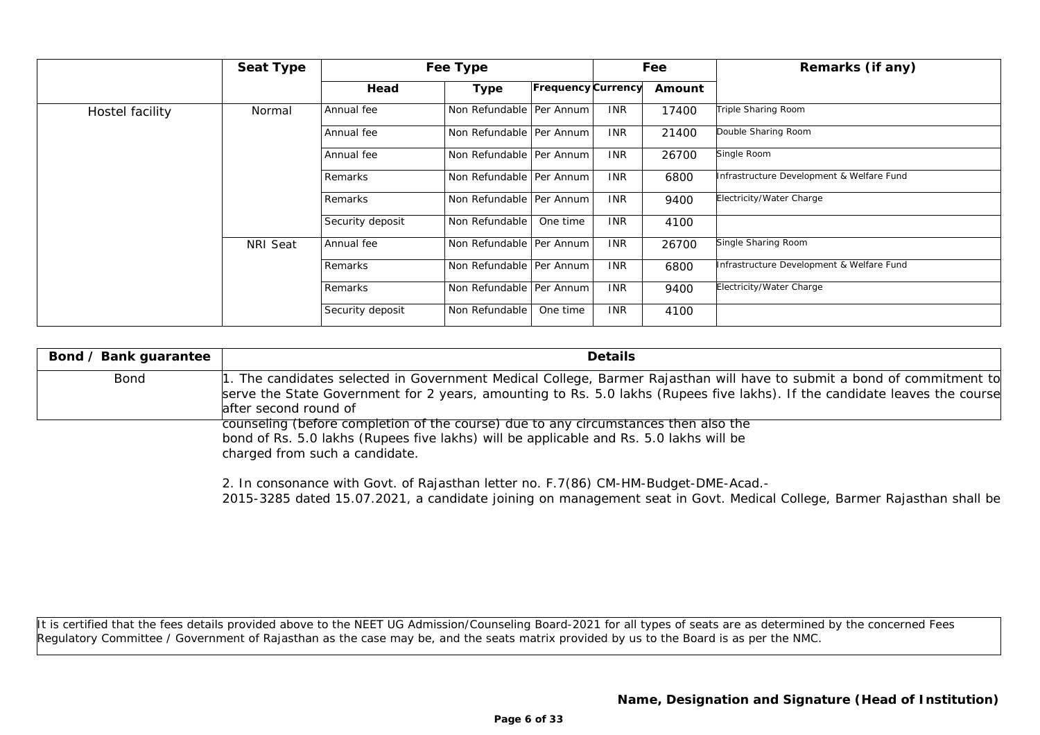|                 | Seat Type |                  | Fee Type                   |                    |            | Fee    | Remarks (if any)                          |
|-----------------|-----------|------------------|----------------------------|--------------------|------------|--------|-------------------------------------------|
|                 |           | Head             | Type                       | Frequency Currency |            | Amount |                                           |
| Hostel facility | Normal    | Annual fee       | Non Refundable   Per Annum |                    | <b>INR</b> | 17400  | Triple Sharing Room                       |
|                 |           | Annual fee       | Non Refundable   Per Annum |                    | <b>INR</b> | 21400  | Double Sharing Room                       |
|                 |           | Annual fee       | Non Refundable   Per Annum |                    | <b>INR</b> | 26700  | Single Room                               |
|                 |           | Remarks          | Non Refundable   Per Annum |                    | <b>INR</b> | 6800   | Infrastructure Development & Welfare Fund |
|                 |           | Remarks          | Non Refundable   Per Annum |                    | <b>INR</b> | 9400   | Electricity/Water Charge                  |
|                 |           | Security deposit | Non Refundable             | One time           | <b>INR</b> | 4100   |                                           |
|                 | NRI Seat  | Annual fee       | Non Refundable   Per Annum |                    | <b>INR</b> | 26700  | Single Sharing Room                       |
|                 |           | Remarks          | Non Refundable   Per Annum |                    | <b>INR</b> | 6800   | Infrastructure Development & Welfare Fund |
|                 |           | Remarks          | Non Refundable   Per Annum |                    | <b>INR</b> | 9400   | Electricity/Water Charge                  |
|                 |           | Security deposit | Non Refundable             | One time           | <b>INR</b> | 4100   |                                           |

| Bond / Bank guarantee | <b>Details</b>                                                                                                                                                                                                                                                                |
|-----------------------|-------------------------------------------------------------------------------------------------------------------------------------------------------------------------------------------------------------------------------------------------------------------------------|
| Bond                  | 1. The candidates selected in Government Medical College, Barmer Rajasthan will have to submit a bond of commitment to<br>serve the State Government for 2 years, amounting to Rs. 5.0 lakhs (Rupees five lakhs). If the candidate leaves the course<br>after second round of |
|                       | counseling (before completion of the course) due to any circumstances then also the<br>bond of Rs. 5.0 lakhs (Rupees five lakhs) will be applicable and Rs. 5.0 lakhs will be                                                                                                 |

charged from such <sup>a</sup> candidate.

2. In consonance with Govt. of Rajasthan letter no. F.7(86) CM-HM-Budget-DME-Acad.- 2015-3285 dated 15.07.2021, <sup>a</sup> candidate joining on management seat in Govt. Medical College, Barmer Rajasthan shall be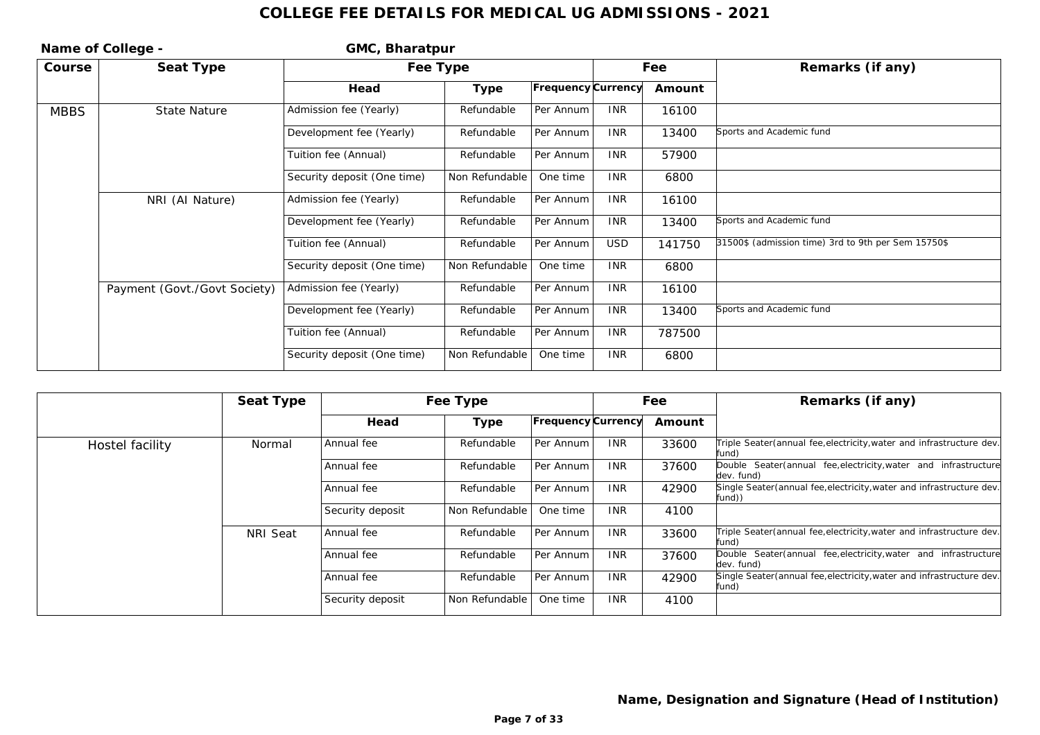| Name of College - |                              | GMC, Bharatpur              |                |                    |            |        |                                                     |
|-------------------|------------------------------|-----------------------------|----------------|--------------------|------------|--------|-----------------------------------------------------|
| Course            | Seat Type                    | Fee Type                    |                |                    |            | Fee    | Remarks (if any)                                    |
|                   |                              | Head                        | Type           | Frequency Currency |            | Amount |                                                     |
| <b>MBBS</b>       | <b>State Nature</b>          | Admission fee (Yearly)      | Refundable     | Per Annum          | <b>INR</b> | 16100  |                                                     |
|                   |                              | Development fee (Yearly)    | Refundable     | Per Annum          | <b>INR</b> | 13400  | Sports and Academic fund                            |
|                   |                              | Tuition fee (Annual)        | Refundable     | Per Annum          | <b>INR</b> | 57900  |                                                     |
|                   |                              | Security deposit (One time) | Non Refundable | One time           | <b>INR</b> | 6800   |                                                     |
|                   | NRI (Al Nature)              | Admission fee (Yearly)      | Refundable     | Per Annum          | <b>INR</b> | 16100  |                                                     |
|                   |                              | Development fee (Yearly)    | Refundable     | Per Annum          | <b>INR</b> | 13400  | Sports and Academic fund                            |
|                   |                              | Tuition fee (Annual)        | Refundable     | Per Annum          | <b>USD</b> | 141750 | 31500\$ (admission time) 3rd to 9th per Sem 15750\$ |
|                   |                              | Security deposit (One time) | Non Refundable | One time           | <b>INR</b> | 6800   |                                                     |
|                   | Payment (Govt./Govt Society) | Admission fee (Yearly)      | Refundable     | Per Annum          | <b>INR</b> | 16100  |                                                     |
|                   |                              | Development fee (Yearly)    | Refundable     | Per Annum          | <b>INR</b> | 13400  | Sports and Academic fund                            |
|                   |                              | Tuition fee (Annual)        | Refundable     | Per Annum          | <b>INR</b> | 787500 |                                                     |
|                   |                              | Security deposit (One time) | Non Refundable | One time           | <b>INR</b> | 6800   |                                                     |

|                 | Seat Type |                  | Fee Type       |                    | Fee        |        | Remarks (if any)                                                                  |
|-----------------|-----------|------------------|----------------|--------------------|------------|--------|-----------------------------------------------------------------------------------|
|                 |           | Head             | Type           | Frequency Currency |            | Amount |                                                                                   |
| Hostel facility | Normal    | Annual fee       | Refundable     | Per Annum          | <b>INR</b> | 33600  | Triple Seater (annual fee, electricity, water and infrastructure dev.<br>fund)    |
|                 |           | Annual fee       | Refundable     | Per Annum          | <b>INR</b> | 37600  | fee, electricity, water and infrastructure<br>Double Seater (annual<br>dev. fund) |
|                 |           | Annual fee       | Refundable     | Per Annum          | <b>INR</b> | 42900  | Single Seater (annual fee, electricity, water and infrastructure dev.<br>fund))   |
|                 |           | Security deposit | Non Refundable | One time           | <b>INR</b> | 4100   |                                                                                   |
|                 | NRI Seat  | Annual fee       | Refundable     | Per Annum          | <b>INR</b> | 33600  | Triple Seater (annual fee, electricity, water and infrastructure dev.<br>fund)    |
|                 |           | Annual fee       | Refundable     | Per Annum          | <b>INR</b> | 37600  | Double Seater(annual fee, electricity, water and infrastructure<br>dev. fund)     |
|                 |           | Annual fee       | Refundable     | Per Annum          | <b>INR</b> | 42900  | Single Seater (annual fee, electricity, water and infrastructure dev.<br>fund)    |
|                 |           | Security deposit | Non Refundable | One time           | <b>INR</b> | 4100   |                                                                                   |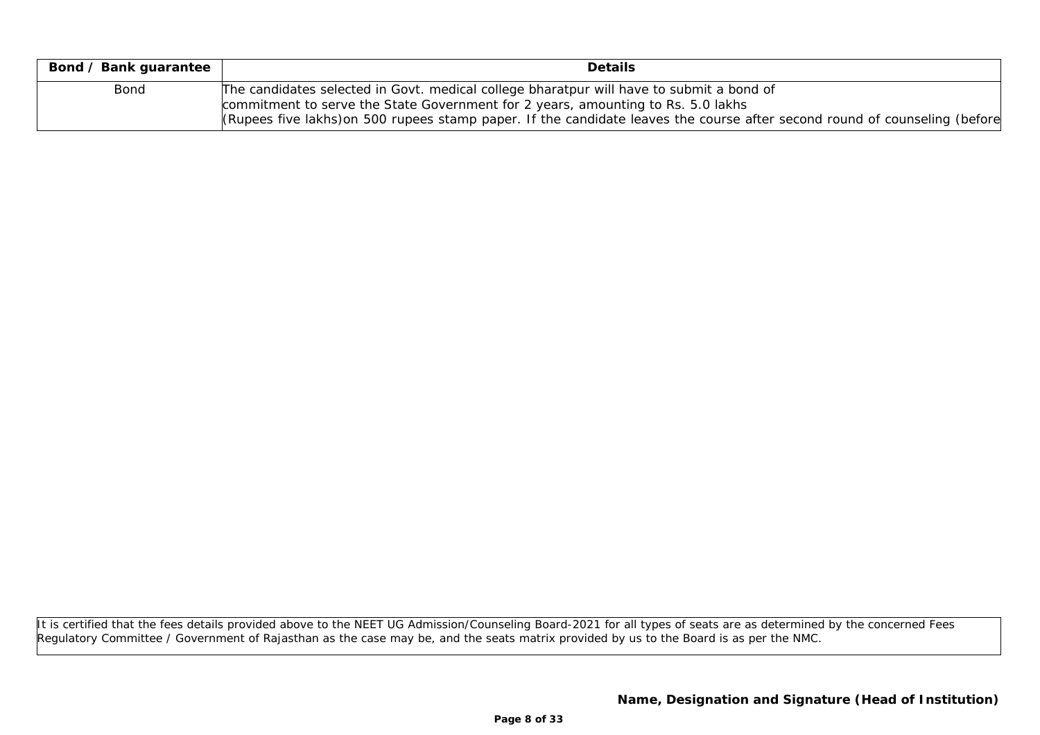| Bond / Bank guarantee | Details                                                                                                                                                                      |
|-----------------------|------------------------------------------------------------------------------------------------------------------------------------------------------------------------------|
| Bond                  | The candidates selected in Govt. medical college bharatpur will have to submit a bond of<br>commitment to serve the State Government for 2 years, amounting to Rs. 5.0 lakhs |
|                       | (Rupees five lakhs) on 500 rupees stamp paper. If the candidate leaves the course after second round of counseling (before                                                   |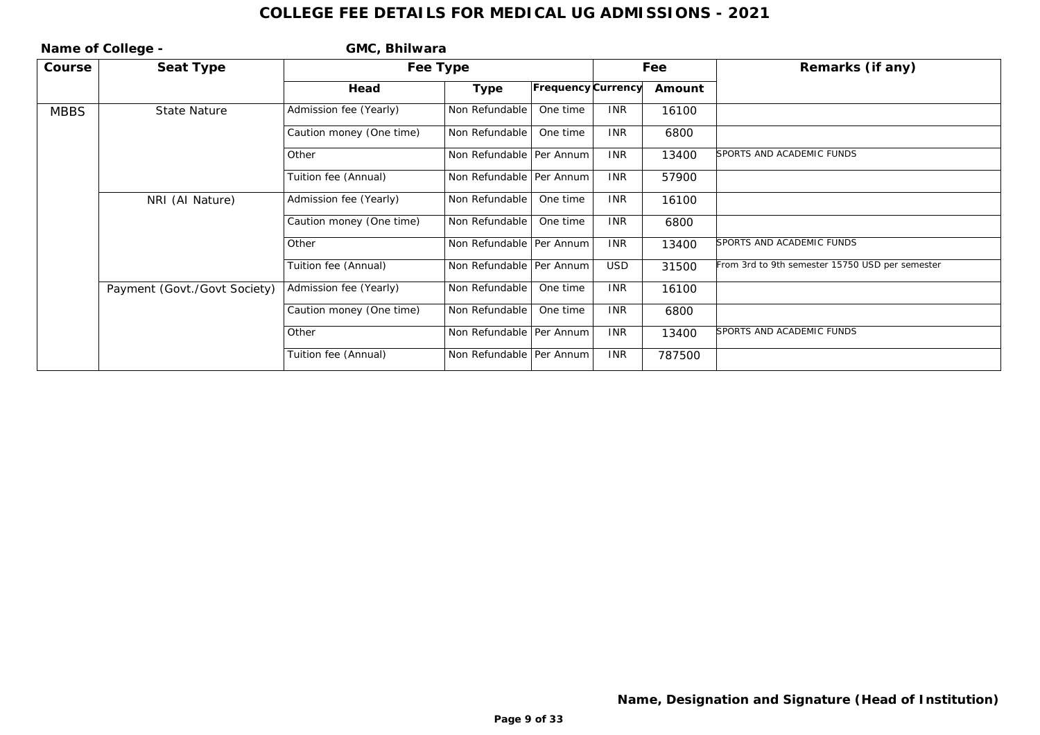|             | Name of College -            | GMC, Bhilwara            |                            |                    |            |        |                                                 |
|-------------|------------------------------|--------------------------|----------------------------|--------------------|------------|--------|-------------------------------------------------|
| Course      | Seat Type                    |                          | Fee Type                   |                    |            | Fee    | Remarks (if any)                                |
|             |                              | Head                     | Type                       | Frequency Currency |            | Amount |                                                 |
| <b>MBBS</b> | State Nature                 | Admission fee (Yearly)   | Non Refundable             | One time           | <b>INR</b> | 16100  |                                                 |
|             |                              | Caution money (One time) | Non Refundable             | One time           | <b>INR</b> | 6800   |                                                 |
|             |                              | Other                    | Non Refundable   Per Annum |                    | <b>INR</b> | 13400  | SPORTS AND ACADEMIC FUNDS                       |
|             |                              | Tuition fee (Annual)     | Non Refundable   Per Annum |                    | <b>INR</b> | 57900  |                                                 |
|             | NRI (AI Nature)              | Admission fee (Yearly)   | Non Refundable             | One time           | <b>INR</b> | 16100  |                                                 |
|             |                              | Caution money (One time) | Non Refundable             | One time           | <b>INR</b> | 6800   |                                                 |
|             |                              | Other                    | Non Refundable Per Annum   |                    | <b>INR</b> | 13400  | SPORTS AND ACADEMIC FUNDS                       |
|             |                              | Tuition fee (Annual)     | Non Refundable   Per Annum |                    | <b>USD</b> | 31500  | From 3rd to 9th semester 15750 USD per semester |
|             | Payment (Govt./Govt Society) | Admission fee (Yearly)   | Non Refundable             | One time           | <b>INR</b> | 16100  |                                                 |
|             |                              | Caution money (One time) | Non Refundable             | One time           | <b>INR</b> | 6800   |                                                 |
|             |                              | Other                    | Non Refundable   Per Annum |                    | <b>INR</b> | 13400  | SPORTS AND ACADEMIC FUNDS                       |
|             |                              | Tuition fee (Annual)     | Non Refundable   Per Annum |                    | <b>INR</b> | 787500 |                                                 |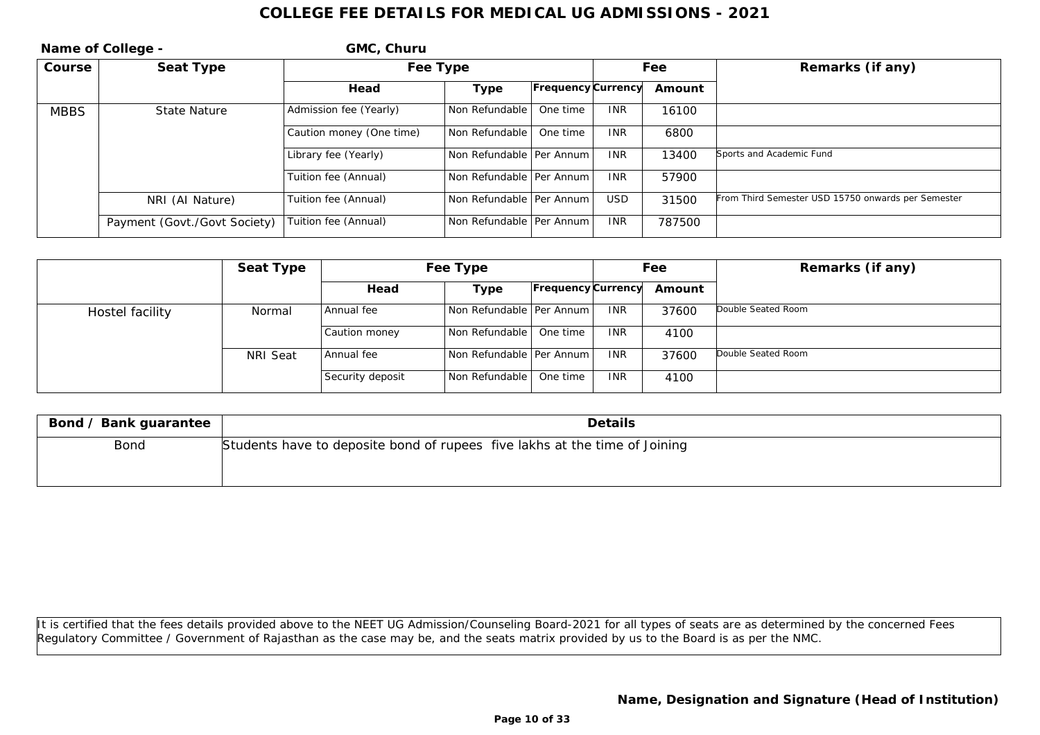| Name of College - |                              | GMC, Churu               |                            |                    |            |        |                                                    |
|-------------------|------------------------------|--------------------------|----------------------------|--------------------|------------|--------|----------------------------------------------------|
| Course            | Seat Type                    | Fee Type                 |                            |                    | Fee        |        | Remarks (if any)                                   |
|                   |                              | Head                     | Type                       | Frequency Currency |            | Amount |                                                    |
| <b>MBBS</b>       | <b>State Nature</b>          | Admission fee (Yearly)   | Non Refundable             | One time           | <b>INR</b> | 16100  |                                                    |
|                   |                              | Caution money (One time) | Non Refundable             | One time           | <b>INR</b> | 6800   |                                                    |
|                   |                              | Library fee (Yearly)     | Non Refundable   Per Annum |                    | <b>INR</b> | 13400  | Sports and Academic Fund                           |
|                   |                              | Tuition fee (Annual)     | Non Refundable   Per Annum |                    | <b>INR</b> | 57900  |                                                    |
|                   | NRI (AI Nature)              | Tuition fee (Annual)     | Non Refundable Per Annum   |                    | <b>USD</b> | 31500  | From Third Semester USD 15750 onwards per Semester |
|                   | Payment (Govt./Govt Society) | Tuition fee (Annual)     | Non Refundable   Per Annum |                    | <b>INR</b> | 787500 |                                                    |

|                 | Seat Type | Fee Type         |                            | Fee                       |            | Remarks (if any) |                    |
|-----------------|-----------|------------------|----------------------------|---------------------------|------------|------------------|--------------------|
|                 |           | Head             | Type                       | <b>Frequency Currency</b> |            | Amount           |                    |
| Hostel facility | Normal    | Annual fee       | Non Refundable   Per Annum |                           | <b>INR</b> | 37600            | Double Seated Room |
|                 |           | Caution money    | Non Refundable             | One time                  | <b>INR</b> | 4100             |                    |
|                 | NRI Seat  | Annual fee       | Non Refundable   Per Annum |                           | <b>INR</b> | 37600            | Double Seated Room |
|                 |           | Security deposit | Non Refundable             | One time                  | <b>INR</b> | 4100             |                    |

| Bond / Bank guarantee | Details                                                                    |
|-----------------------|----------------------------------------------------------------------------|
| Bond                  | Students have to deposite bond of rupees five lakhs at the time of Joining |
|                       |                                                                            |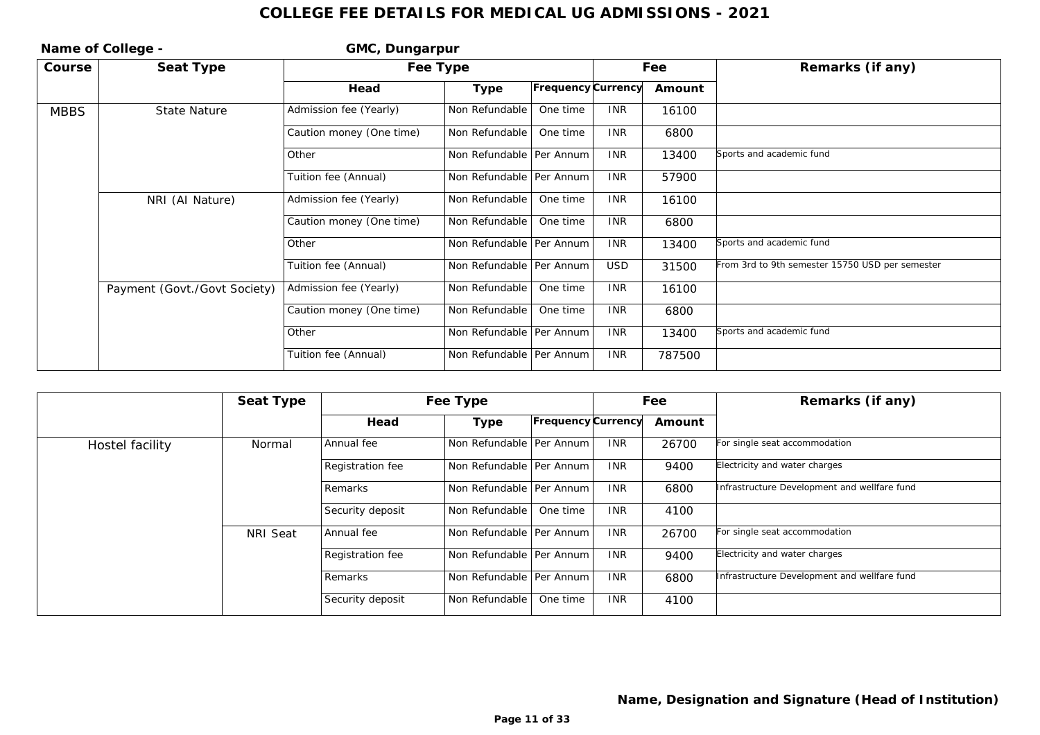| Name of College - |                              | GMC, Dungarpur           |                            |                    |            |        |                                                 |
|-------------------|------------------------------|--------------------------|----------------------------|--------------------|------------|--------|-------------------------------------------------|
| Course            | Seat Type                    | Fee Type                 |                            |                    |            | Fee    | Remarks (if any)                                |
|                   |                              | Head                     | Type                       | Frequency Currency |            | Amount |                                                 |
| <b>MBBS</b>       | State Nature                 | Admission fee (Yearly)   | Non Refundable             | One time           | <b>INR</b> | 16100  |                                                 |
|                   |                              | Caution money (One time) | Non Refundable             | One time           | <b>INR</b> | 6800   |                                                 |
|                   |                              | Other                    | Non Refundable   Per Annum |                    | <b>INR</b> | 13400  | Sports and academic fund                        |
|                   |                              | Tuition fee (Annual)     | Non Refundable   Per Annum |                    | <b>INR</b> | 57900  |                                                 |
|                   | NRI (AI Nature)              | Admission fee (Yearly)   | Non Refundable             | One time           | <b>INR</b> | 16100  |                                                 |
|                   |                              | Caution money (One time) | Non Refundable             | One time           | <b>INR</b> | 6800   |                                                 |
|                   |                              | Other                    | Non Refundable   Per Annum |                    | <b>INR</b> | 13400  | Sports and academic fund                        |
|                   |                              | Tuition fee (Annual)     | Non Refundable   Per Annum |                    | <b>USD</b> | 31500  | From 3rd to 9th semester 15750 USD per semester |
|                   | Payment (Govt./Govt Society) | Admission fee (Yearly)   | Non Refundable             | One time           | <b>INR</b> | 16100  |                                                 |
|                   |                              | Caution money (One time) | Non Refundable             | One time           | <b>INR</b> | 6800   |                                                 |
|                   |                              | Other                    | Non Refundable   Per Annum |                    | <b>INR</b> | 13400  | Sports and academic fund                        |
|                   |                              | Tuition fee (Annual)     | Non Refundable   Per Annum |                    | <b>INR</b> | 787500 |                                                 |

|                 | Seat Type |                  | Fee Type                   |                           |            | Fee    | Remarks (if any)                             |
|-----------------|-----------|------------------|----------------------------|---------------------------|------------|--------|----------------------------------------------|
|                 |           | Head             | Type                       | <b>Frequency Currency</b> |            | Amount |                                              |
| Hostel facility | Normal    | Annual fee       | Non Refundable   Per Annum |                           | <b>INR</b> | 26700  | For single seat accommodation                |
|                 |           | Registration fee | Non Refundable   Per Annum |                           | <b>INR</b> | 9400   | Electricity and water charges                |
|                 |           | Remarks          | Non Refundable   Per Annum |                           | <b>INR</b> | 6800   | Infrastructure Development and wellfare fund |
|                 |           | Security deposit | Non Refundable             | One time                  | <b>INR</b> | 4100   |                                              |
|                 | NRI Seat  | Annual fee       | Non Refundable   Per Annum |                           | <b>INR</b> | 26700  | For single seat accommodation                |
|                 |           | Registration fee | Non Refundable   Per Annum |                           | <b>INR</b> | 9400   | Electricity and water charges                |
|                 |           | Remarks          | Non Refundable   Per Annum |                           | <b>INR</b> | 6800   | Infrastructure Development and wellfare fund |
|                 |           | Security deposit | Non Refundable             | One time                  | <b>INR</b> | 4100   |                                              |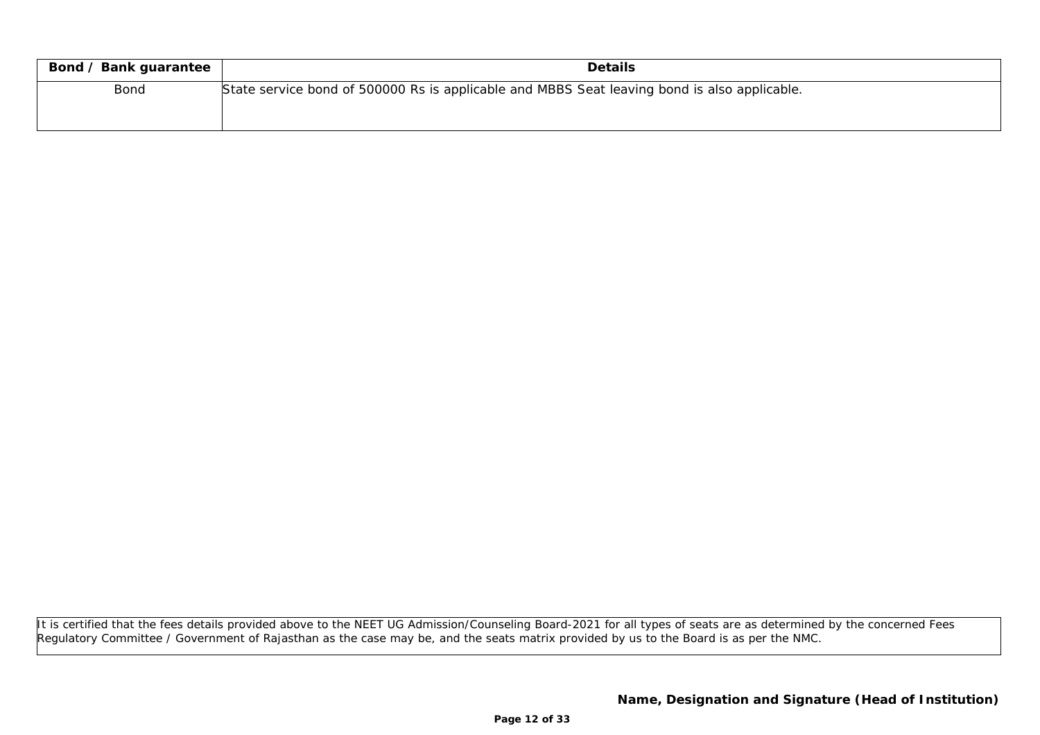| Bond / Bank guarantee | <b>Details</b>                                                                               |
|-----------------------|----------------------------------------------------------------------------------------------|
| <b>Bond</b>           | State service bond of 500000 Rs is applicable and MBBS Seat leaving bond is also applicable. |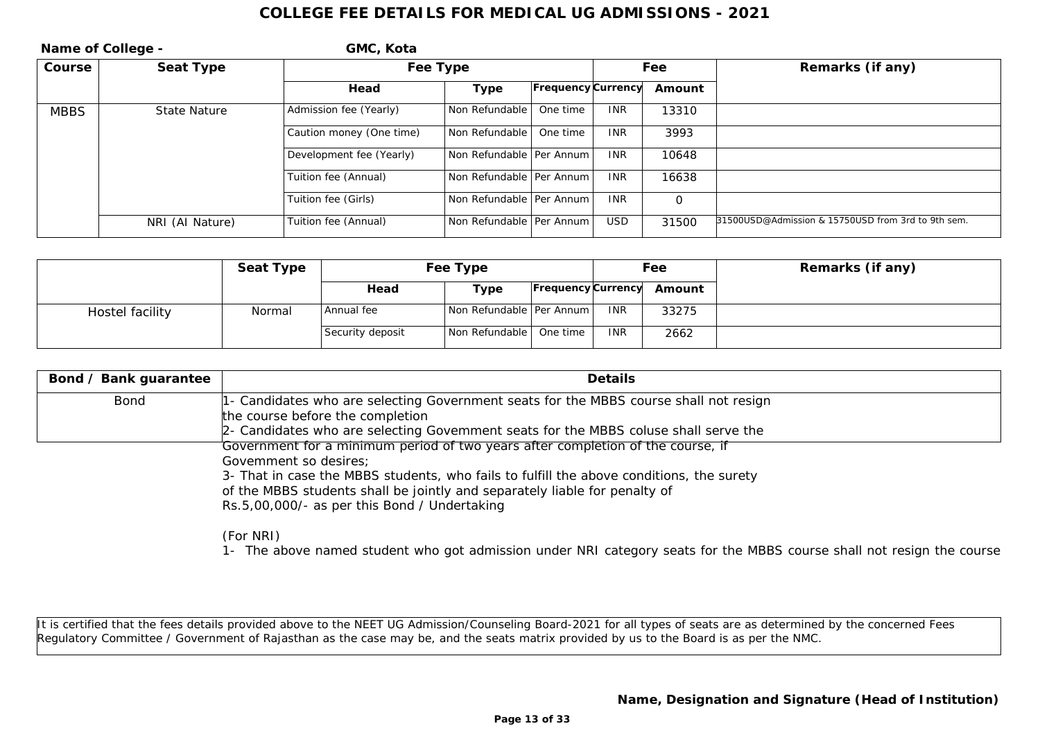| Name of College - |                     | GMC, Kota                |                            |                           |            |                  |                                                    |
|-------------------|---------------------|--------------------------|----------------------------|---------------------------|------------|------------------|----------------------------------------------------|
| Course            | Seat Type           | Fee Type                 |                            | Fee                       |            | Remarks (if any) |                                                    |
|                   |                     | Head                     | Type                       | <b>Frequency Currency</b> |            | Amount           |                                                    |
| <b>MBBS</b>       | <b>State Nature</b> | Admission fee (Yearly)   | Non Refundable             | One time                  | <b>INR</b> | 13310            |                                                    |
|                   |                     | Caution money (One time) | Non Refundable             | One time                  | <b>INR</b> | 3993             |                                                    |
|                   |                     | Development fee (Yearly) | Non Refundable   Per Annum |                           | <b>INR</b> | 10648            |                                                    |
|                   |                     | Tuition fee (Annual)     | Non Refundable   Per Annum |                           | <b>INR</b> | 16638            |                                                    |
|                   |                     | Tuition fee (Girls)      | Non Refundable   Per Annum |                           | <b>INR</b> | $\Omega$         |                                                    |
|                   | NRI (Al Nature)     | Tuition fee (Annual)     | Non Refundable   Per Annum |                           | <b>USD</b> | 31500            | 31500USD@Admission & 15750USD from 3rd to 9th sem. |

|                 | Seat Type |                  | Fee Type                   | Fee        |                           | Remarks (if any) |
|-----------------|-----------|------------------|----------------------------|------------|---------------------------|------------------|
|                 |           | Head             | Туре                       |            | Frequency Currency Amount |                  |
| Hostel facility | Normal    | Annual fee       | Non Refundable   Per Annum | <b>INR</b> | 33275                     |                  |
|                 |           | Security deposit | Non Refundable   One time  | <b>INR</b> | 2662                      |                  |

| Bond / Bank guarantee | <b>Details</b>                                                                                                                                                                                                   |
|-----------------------|------------------------------------------------------------------------------------------------------------------------------------------------------------------------------------------------------------------|
| Bond                  | 1- Candidates who are selecting Government seats for the MBBS course shall not resign<br>the course before the completion<br>2- Candidates who are selecting Govemment seats for the MBBS coluse shall serve the |
|                       | Government for a minimum period of two years after completion of the course, if<br>Govemment so desires;<br>3- That in case the MBBS students, who fails to fulfill the above conditions, the surety             |

of the MBBS students shall be jointly and separately liable for penalty of

Rs.5,00,000/- as per this Bond / Undertaking

(For NRI)

1- The above named student who got admission under NRI category seats for the MBBS course shall not resign the course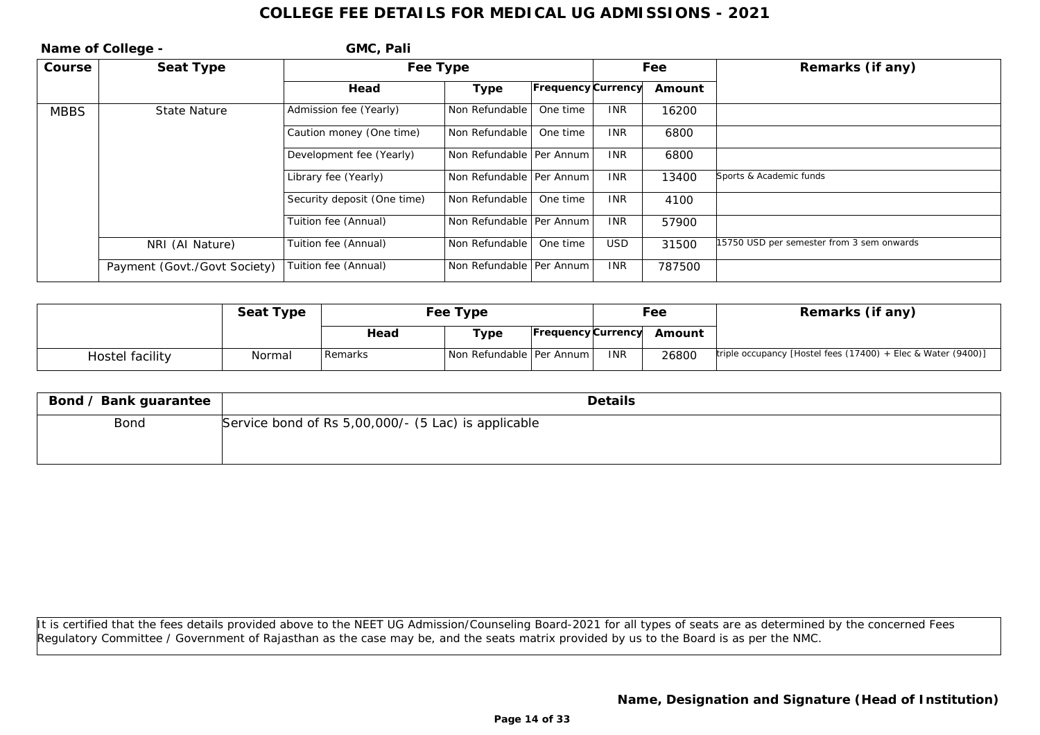|             | Name of College -            | GMC, Pali                   |                            |                           |            |        |                                           |
|-------------|------------------------------|-----------------------------|----------------------------|---------------------------|------------|--------|-------------------------------------------|
| Course      | Seat Type                    | Fee Type                    |                            |                           | Fee        |        | Remarks (if any)                          |
|             |                              | Head                        | Type                       | <b>Frequency Currency</b> |            | Amount |                                           |
| <b>MBBS</b> | <b>State Nature</b>          | Admission fee (Yearly)      | Non Refundable             | One time                  | <b>INR</b> | 16200  |                                           |
|             |                              | Caution money (One time)    | Non Refundable             | One time                  | <b>INR</b> | 6800   |                                           |
|             |                              | Development fee (Yearly)    | Non Refundable   Per Annum |                           | <b>INR</b> | 6800   |                                           |
|             |                              | Library fee (Yearly)        | Non Refundable   Per Annum |                           | <b>INR</b> | 13400  | Sports & Academic funds                   |
|             |                              | Security deposit (One time) | Non Refundable             | One time                  | <b>INR</b> | 4100   |                                           |
|             |                              | Tuition fee (Annual)        | Non Refundable   Per Annum |                           | <b>INR</b> | 57900  |                                           |
|             | NRI (AI Nature)              | Tuition fee (Annual)        | Non Refundable             | One time                  | <b>USD</b> | 31500  | 15750 USD per semester from 3 sem onwards |
|             | Payment (Govt./Govt Society) | Tuition fee (Annual)        | Non Refundable   Per Annum |                           | <b>INR</b> | 787500 |                                           |

|                 | Seat Type | Fee Type |                            |                    |            | Fee    | Remarks (if any)                                             |
|-----------------|-----------|----------|----------------------------|--------------------|------------|--------|--------------------------------------------------------------|
|                 |           | Head     | Type                       | Frequency Currency |            | Amount |                                                              |
| Hostel facility | Normal    | Remarks  | Non Refundable   Per Annum |                    | <b>INR</b> | 26800  | triple occupancy [Hostel fees (17400) + Elec & Water (9400)] |

| Bond / Bank guarantee | Details                                             |
|-----------------------|-----------------------------------------------------|
| Bond                  | Service bond of Rs 5,00,000/- (5 Lac) is applicable |
|                       |                                                     |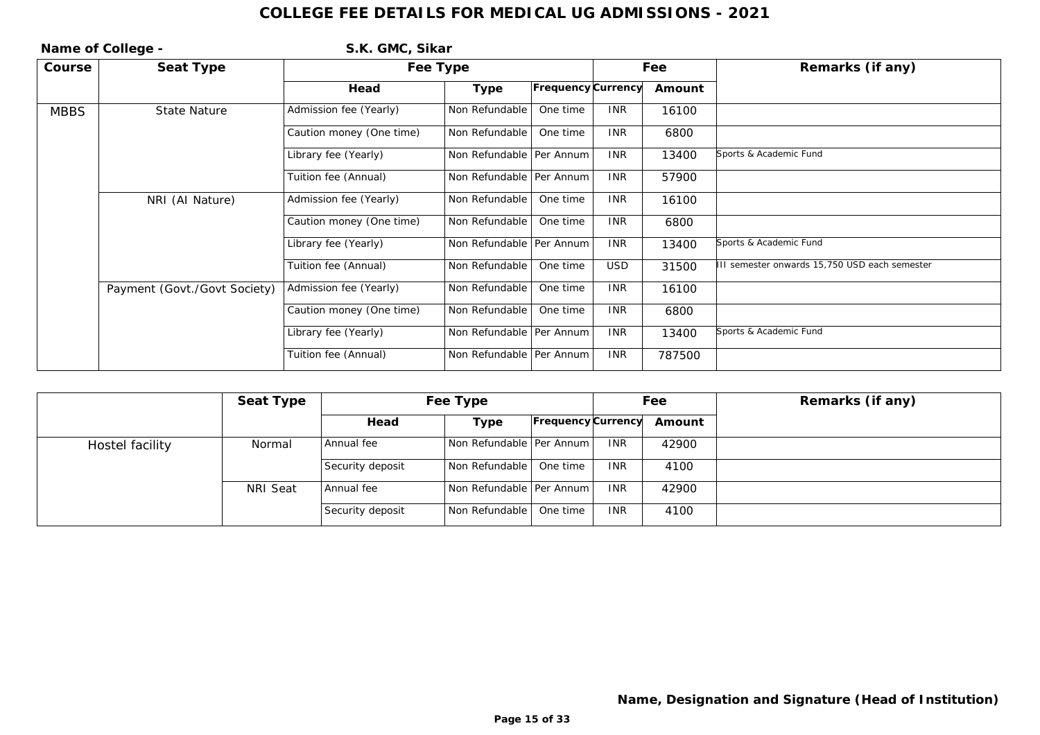|             | Name of College -            | S.K. GMC, Sikar          |                            |                    |            |        |                                              |
|-------------|------------------------------|--------------------------|----------------------------|--------------------|------------|--------|----------------------------------------------|
| Course      | Seat Type                    | Fee Type                 |                            |                    |            | Fee    | Remarks (if any)                             |
|             |                              | Head                     | Type                       | Frequency Currency |            | Amount |                                              |
| <b>MBBS</b> | State Nature                 | Admission fee (Yearly)   | Non Refundable             | One time           | <b>INR</b> | 16100  |                                              |
|             |                              | Caution money (One time) | Non Refundable             | One time           | <b>INR</b> | 6800   |                                              |
|             |                              | Library fee (Yearly)     | Non Refundable   Per Annum |                    | <b>INR</b> | 13400  | Sports & Academic Fund                       |
|             |                              | Tuition fee (Annual)     | Non Refundable   Per Annum |                    | <b>INR</b> | 57900  |                                              |
|             | NRI (Al Nature)              | Admission fee (Yearly)   | Non Refundable             | One time           | <b>INR</b> | 16100  |                                              |
|             |                              | Caution money (One time) | Non Refundable             | One time           | <b>INR</b> | 6800   |                                              |
|             |                              | Library fee (Yearly)     | Non Refundable   Per Annum |                    | <b>INR</b> | 13400  | Sports & Academic Fund                       |
|             |                              | Tuition fee (Annual)     | Non Refundable             | One time           | <b>USD</b> | 31500  | II semester onwards 15,750 USD each semester |
|             | Payment (Govt./Govt Society) | Admission fee (Yearly)   | Non Refundable             | One time           | <b>INR</b> | 16100  |                                              |
|             |                              | Caution money (One time) | Non Refundable             | One time           | <b>INR</b> | 6800   |                                              |
|             |                              | Library fee (Yearly)     | Non Refundable   Per Annum |                    | <b>INR</b> | 13400  | Sports & Academic Fund                       |
|             |                              | Tuition fee (Annual)     | Non Refundable   Per Annum |                    | <b>INR</b> | 787500 |                                              |

|                 | Seat Type | Fee Type         |                            |                           | Fee        |        | Remarks (if any) |
|-----------------|-----------|------------------|----------------------------|---------------------------|------------|--------|------------------|
|                 |           | Head             | Type                       | <b>Frequency Currency</b> |            | Amount |                  |
| Hostel facility | Normal    | Annual fee       | Non Refundable   Per Annum |                           | <b>INR</b> | 42900  |                  |
|                 |           | Security deposit | Non Refundable   One time  |                           | <b>INR</b> | 4100   |                  |
|                 | NRI Seat  | Annual fee       | Non Refundable   Per Annum |                           | <b>INR</b> | 42900  |                  |
|                 |           | Security deposit | Non Refundable             | One time                  | <b>INR</b> | 4100   |                  |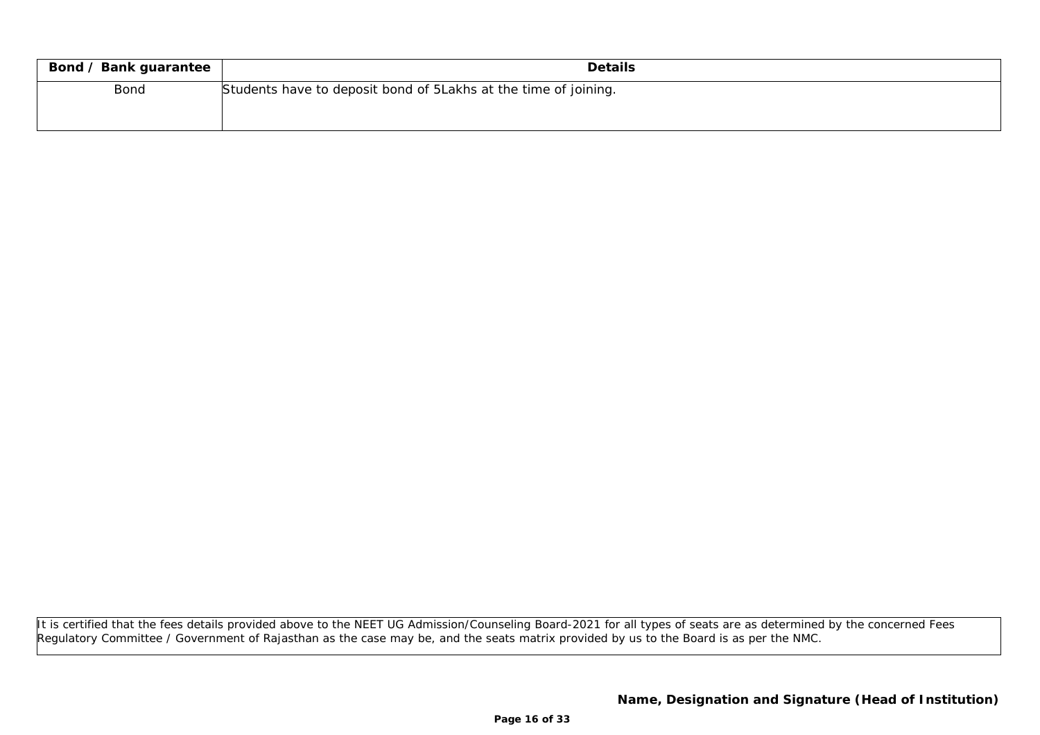| Bond / Bank guarantee | <b>Details</b>                                                   |
|-----------------------|------------------------------------------------------------------|
| Bond                  | Students have to deposit bond of 5 Lakhs at the time of joining. |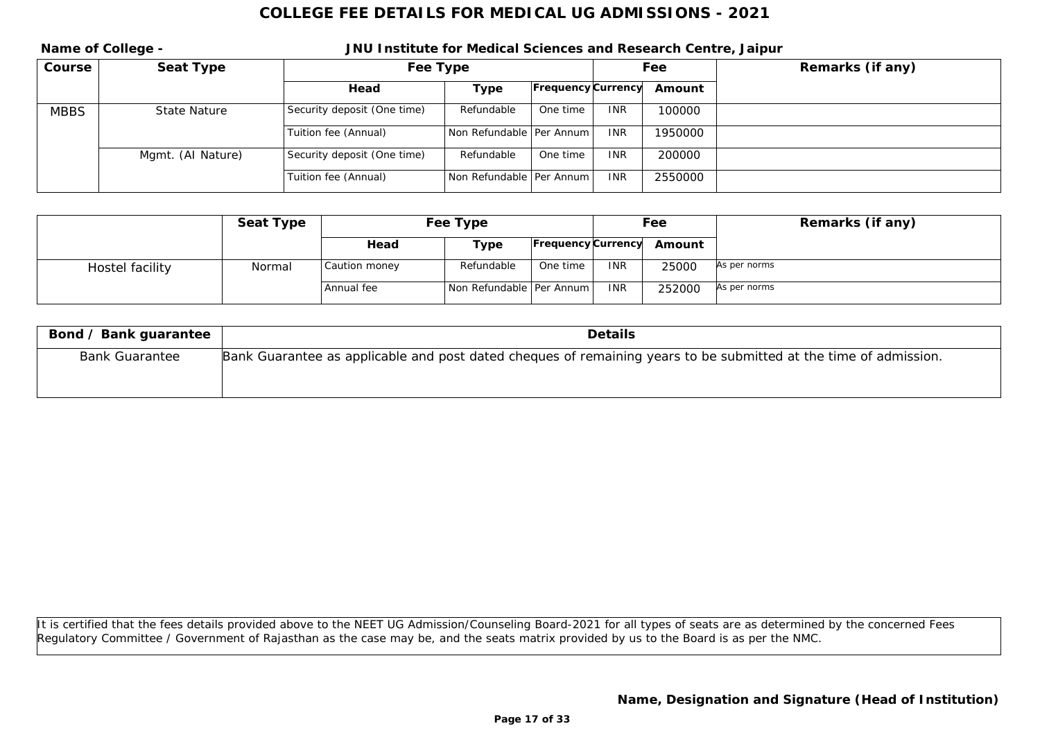**Name of College - JNU Institute for Medical Sciences and Research Centre, Jaipur Course Seat Type Fee Type Fee Remarks (if any) Head Type Frequency Currency Amount** MBBS State Nature Security deposit (One time) Refundable One time INR 100000 Tuition fee (Annual) Non Refundable Per Annum INR 1950000 Mgmt. (AI Nature) Security deposit (One time) Refundable One time INR 200000 Tuition fee (Annual) Non Refundable Per Annum INR 2550000

|                 | Seat Type | Fee Type      |                            |                    |            | Feel   | Remarks (if any) |
|-----------------|-----------|---------------|----------------------------|--------------------|------------|--------|------------------|
|                 |           | Head          | Type                       | Frequency Currency |            | Amount |                  |
| Hostel facility | Normal    | Caution money | Refundable                 | One time           | <b>INR</b> | 25000  | As per norms     |
|                 |           | Annual fee    | Non Refundable   Per Annum |                    | <b>INR</b> | 252000 | As per norms     |

| Bond / Bank guarantee | Details                                                                                                          |
|-----------------------|------------------------------------------------------------------------------------------------------------------|
| <b>Bank Guarantee</b> | Bank Guarantee as applicable and post dated cheques of remaining years to be submitted at the time of admission. |
|                       |                                                                                                                  |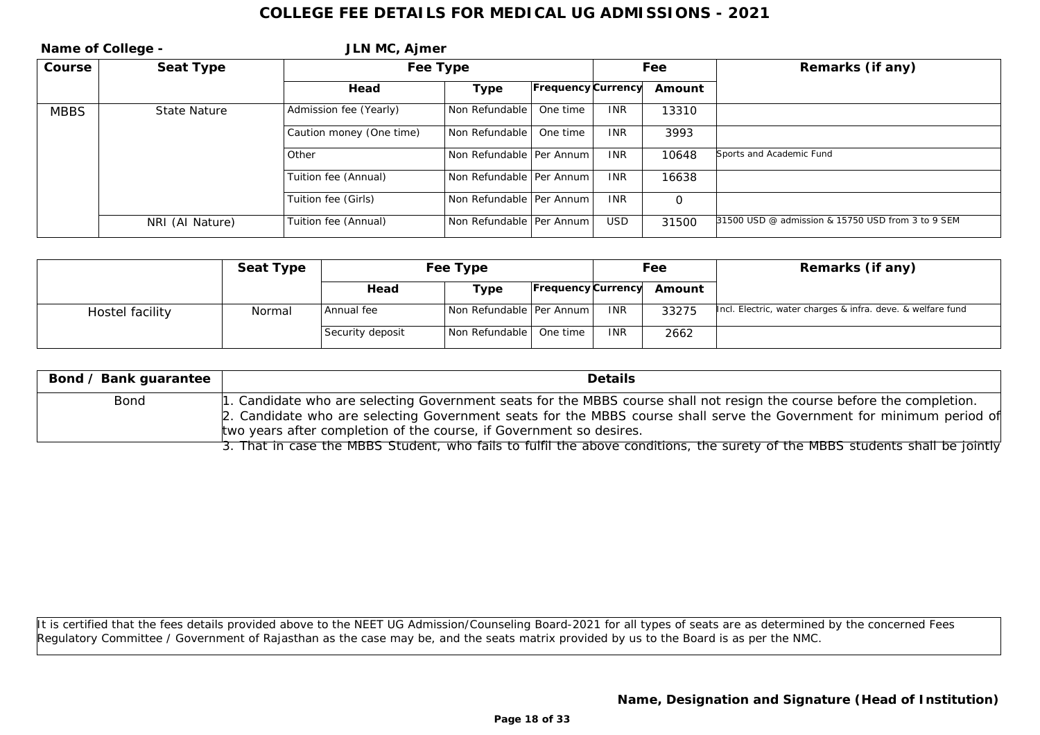| Name of College - |                 | JLN MC, Ajmer            |                            |                           |            |          |                                                   |
|-------------------|-----------------|--------------------------|----------------------------|---------------------------|------------|----------|---------------------------------------------------|
| Course            | Seat Type       |                          | Fee Type                   |                           |            | Fee      | Remarks (if any)                                  |
|                   |                 | Head                     | Type                       | <b>Frequency Currency</b> |            | Amount   |                                                   |
| <b>MBBS</b>       | State Nature    | Admission fee (Yearly)   | Non Refundable             | One time                  | <b>INR</b> | 13310    |                                                   |
|                   |                 | Caution money (One time) | Non Refundable             | One time                  | <b>INR</b> | 3993     |                                                   |
|                   |                 | Other                    | Non Refundable   Per Annum |                           | <b>INR</b> | 10648    | Sports and Academic Fund                          |
|                   |                 | Tuition fee (Annual)     | Non Refundable   Per Annum |                           | <b>INR</b> | 16638    |                                                   |
|                   |                 | Tuition fee (Girls)      | Non Refundable   Per Annum |                           | <b>INR</b> | $\Omega$ |                                                   |
|                   | NRI (AI Nature) | Tuition fee (Annual)     | Non Refundable   Per Annum |                           | <b>USD</b> | 31500    | 31500 USD @ admission & 15750 USD from 3 to 9 SEM |

|                 | Seat Type | Fee Type         |                            |                           | Fee        |        | Remarks (if any)                                            |
|-----------------|-----------|------------------|----------------------------|---------------------------|------------|--------|-------------------------------------------------------------|
|                 |           | Head             | Type                       | <b>Frequency Currency</b> |            | Amount |                                                             |
| Hostel facility | Normal    | Annual fee       | Non Refundable   Per Annum |                           | <b>INR</b> | 33275  | Incl. Electric, water charges & infra. deve. & welfare fund |
|                 |           | Security deposit | Non Refundable   One time  |                           | <b>INR</b> | 2662   |                                                             |

| Bond / Bank guarantee | <b>Details</b>                                                                                                                                                                                                                                                                                                        |
|-----------------------|-----------------------------------------------------------------------------------------------------------------------------------------------------------------------------------------------------------------------------------------------------------------------------------------------------------------------|
| Bond                  | 1. Candidate who are selecting Government seats for the MBBS course shall not resign the course before the completion.<br>2. Candidate who are selecting Government seats for the MBBS course shall serve the Government for minimum period of<br>two years after completion of the course, if Government so desires. |
|                       | 3. That in case the MBBS Student, who fails to fulfil the above conditions, the surety of the MBBS students shall be jointly                                                                                                                                                                                          |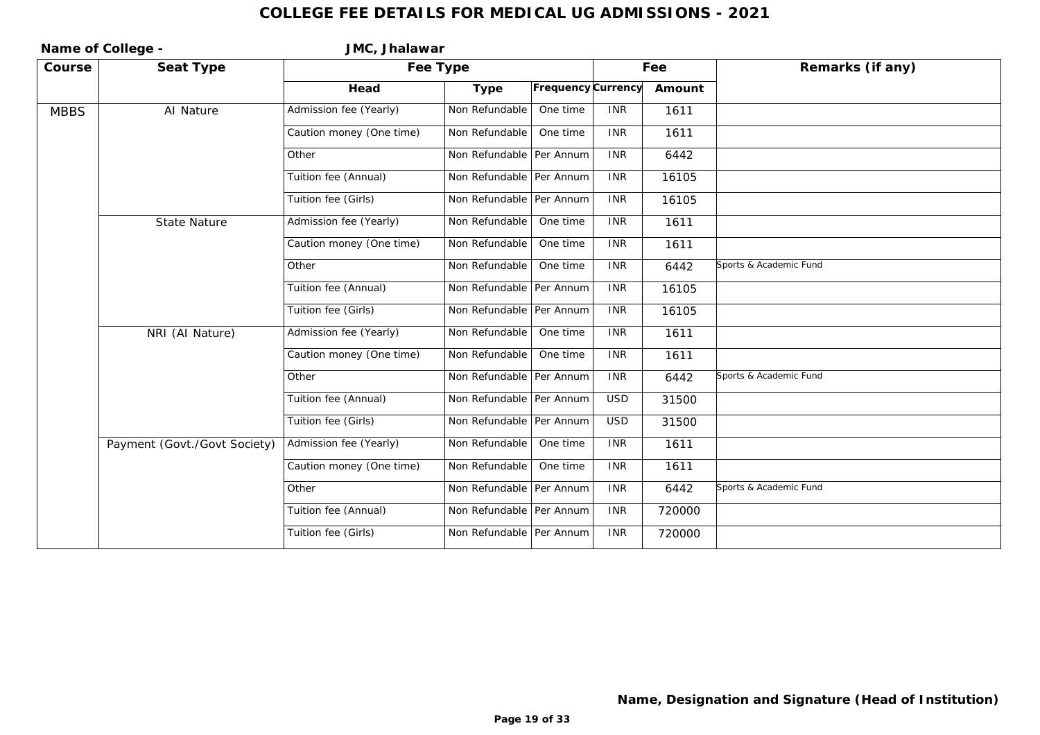| Name of College - |                              | JMC, Jhalawar            |                            |                    |            |        |                        |  |  |  |
|-------------------|------------------------------|--------------------------|----------------------------|--------------------|------------|--------|------------------------|--|--|--|
| Course            | Seat Type                    |                          | Fee Type                   |                    |            | Fee    | Remarks (if any)       |  |  |  |
|                   |                              | Head                     | Type                       | Frequency Currency |            | Amount |                        |  |  |  |
| <b>MBBS</b>       | AI Nature                    | Admission fee (Yearly)   | Non Refundable             | One time           | <b>INR</b> | 1611   |                        |  |  |  |
|                   |                              | Caution money (One time) | Non Refundable             | One time           | <b>INR</b> | 1611   |                        |  |  |  |
|                   |                              | Other                    | Non Refundable   Per Annum |                    | <b>INR</b> | 6442   |                        |  |  |  |
|                   |                              | Tuition fee (Annual)     | Non Refundable Per Annum   |                    | <b>INR</b> | 16105  |                        |  |  |  |
|                   |                              | Tuition fee (Girls)      | Non Refundable Per Annum   |                    | <b>INR</b> | 16105  |                        |  |  |  |
|                   | <b>State Nature</b>          | Admission fee (Yearly)   | Non Refundable             | One time           | <b>INR</b> | 1611   |                        |  |  |  |
|                   |                              | Caution money (One time) | Non Refundable             | One time           | <b>INR</b> | 1611   |                        |  |  |  |
|                   |                              | Other                    | Non Refundable             | One time           | <b>INR</b> | 6442   | Sports & Academic Fund |  |  |  |
|                   |                              | Tuition fee (Annual)     | Non Refundable Per Annum   |                    | <b>INR</b> | 16105  |                        |  |  |  |
|                   |                              | Tuition fee (Girls)      | Non Refundable Per Annum   |                    | <b>INR</b> | 16105  |                        |  |  |  |
|                   | NRI (Al Nature)              | Admission fee (Yearly)   | Non Refundable             | One time           | <b>INR</b> | 1611   |                        |  |  |  |
|                   |                              | Caution money (One time) | Non Refundable             | One time           | <b>INR</b> | 1611   |                        |  |  |  |
|                   |                              | Other                    | Non Refundable Per Annum   |                    | <b>INR</b> | 6442   | Sports & Academic Fund |  |  |  |
|                   |                              | Tuition fee (Annual)     | Non Refundable Per Annum   |                    | <b>USD</b> | 31500  |                        |  |  |  |
|                   |                              | Tuition fee (Girls)      | Non Refundable Per Annum   |                    | <b>USD</b> | 31500  |                        |  |  |  |
|                   | Payment (Govt./Govt Society) | Admission fee (Yearly)   | Non Refundable             | One time           | <b>INR</b> | 1611   |                        |  |  |  |
|                   |                              | Caution money (One time) | Non Refundable             | One time           | <b>INR</b> | 1611   |                        |  |  |  |
|                   |                              | Other                    | Non Refundable   Per Annum |                    | <b>INR</b> | 6442   | Sports & Academic Fund |  |  |  |
|                   |                              | Tuition fee (Annual)     | Non Refundable   Per Annum |                    | <b>INR</b> | 720000 |                        |  |  |  |
|                   |                              | Tuition fee (Girls)      | Non Refundable   Per Annum |                    | <b>INR</b> | 720000 |                        |  |  |  |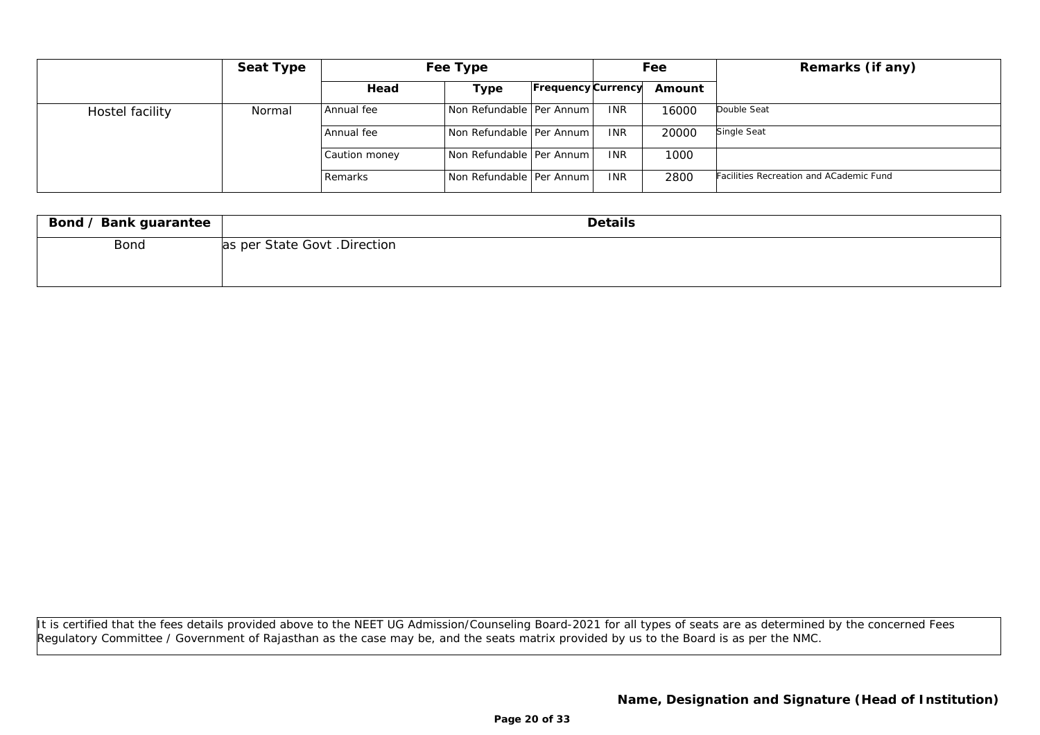|                 | Seat Type | Fee Type      |                              |                           | Fee        |        | Remarks (if any)                        |
|-----------------|-----------|---------------|------------------------------|---------------------------|------------|--------|-----------------------------------------|
|                 |           | Head          | Type                         | <b>Frequency Currency</b> |            | Amount |                                         |
| Hostel facility | Normal    | Annual fee    | Non Refundable   Per Annum   |                           | <b>INR</b> | 16000  | Double Seat                             |
|                 |           | Annual fee    | l Non Refundable   Per Annum |                           | <b>INR</b> | 20000  | Single Seat                             |
|                 |           | Caution money | Non Refundable   Per Annum   |                           | <b>INR</b> | 1000   |                                         |
|                 |           | Remarks       | Non Refundable Per Annum     |                           | <b>INR</b> | 2800   | Facilities Recreation and ACademic Fund |

| Bond / Bank guarantee | Details                      |
|-----------------------|------------------------------|
| Bond                  | as per State Govt. Direction |
|                       |                              |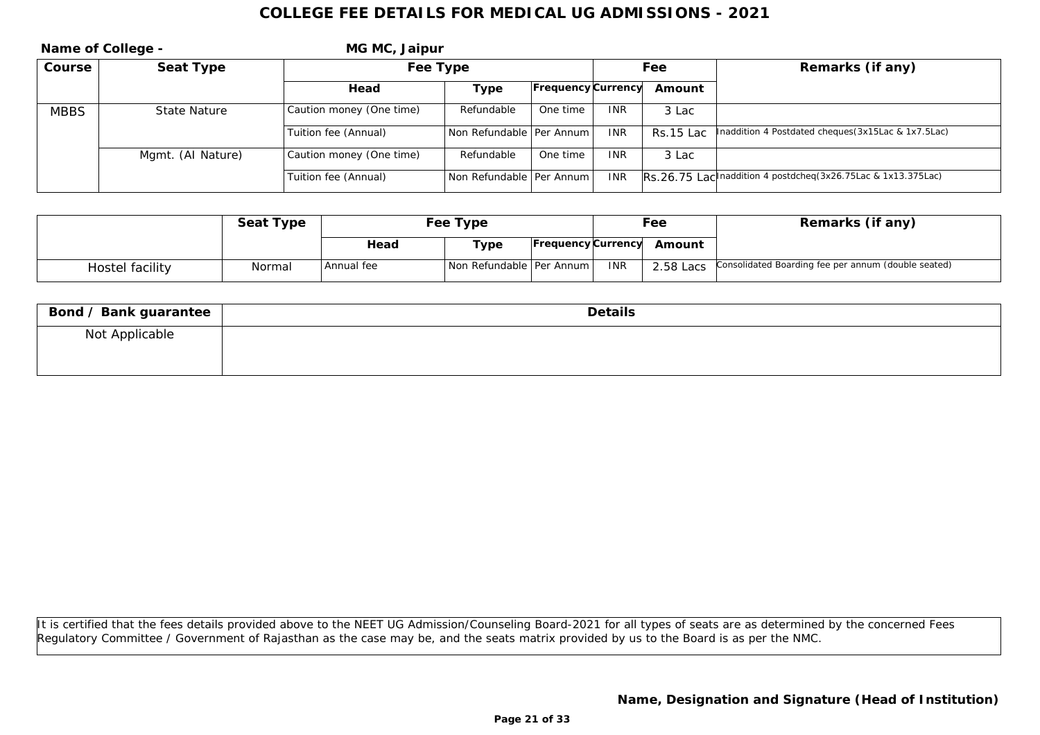| Name of College - |                   | MG MC, Jaipur            |                            |                           |            |           |                                                                |
|-------------------|-------------------|--------------------------|----------------------------|---------------------------|------------|-----------|----------------------------------------------------------------|
| Course            | Seat Type         | Fee Type                 |                            |                           | Fee        |           | Remarks (if any)                                               |
|                   |                   | Head                     | Type                       | <b>Frequency Currency</b> |            | Amount    |                                                                |
| <b>MBBS</b>       | State Nature      | Caution money (One time) | Refundable                 | One time                  | <b>INR</b> | 3 Lac     |                                                                |
|                   |                   | Tuition fee (Annual)     | Non Refundable   Per Annum |                           | <b>INR</b> | Rs.15 Lac | Inaddition 4 Postdated cheques (3x15Lac & 1x7.5Lac)            |
|                   | Mgmt. (AI Nature) | Caution money (One time) | Refundable                 | One time                  | <b>INR</b> | 3 Lac     |                                                                |
|                   |                   | Tuition fee (Annual)     | Non Refundable   Per Annum |                           | <b>INR</b> |           | IRS.26.75 Lac naddition 4 postdcheq (3x26.75Lac & 1x13.375Lac) |

|                 | Seat Type | Fee Type     |                            |  |            | Fee                       | Remarks (if any)                                              |
|-----------------|-----------|--------------|----------------------------|--|------------|---------------------------|---------------------------------------------------------------|
|                 |           | Head         | Type                       |  |            | Frequency Currency Amount |                                                               |
| Hostel facility | Normal    | l Annual fee | Non Refundable   Per Annum |  | <b>INR</b> |                           | 2.58 Lacs Consolidated Boarding fee per annum (double seated) |

| Bond / Bank guarantee | Details |
|-----------------------|---------|
| Not Applicable        |         |
|                       |         |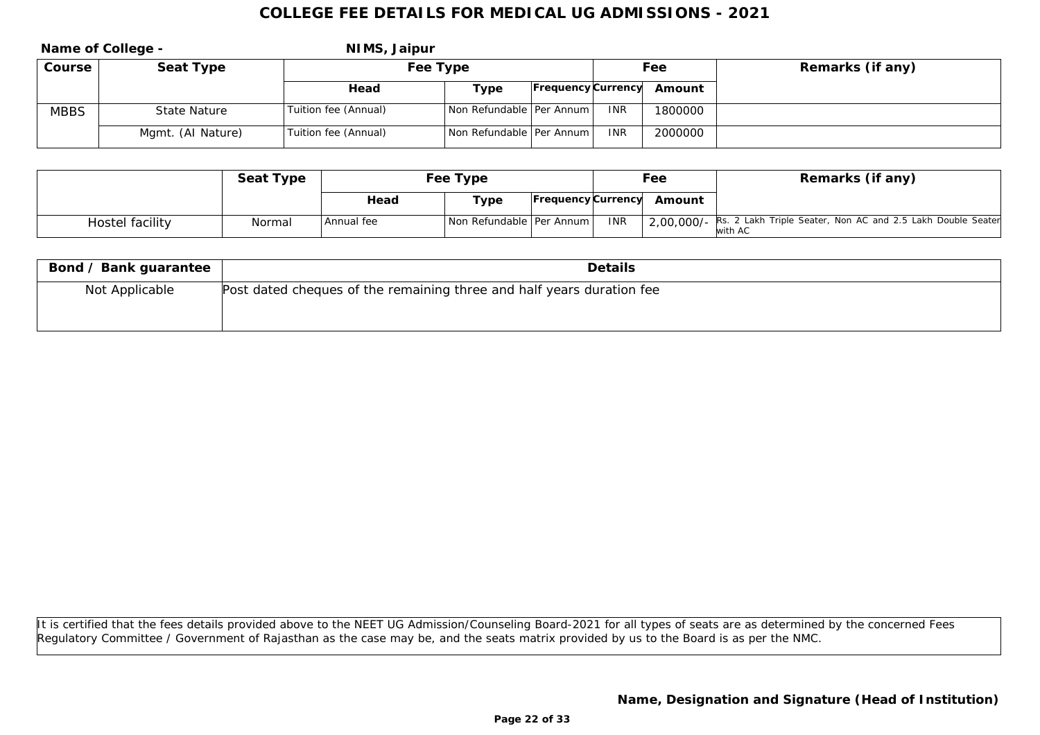|             | Name of College - | NIMS, Jaipur         |                            |                    |            |         |                  |
|-------------|-------------------|----------------------|----------------------------|--------------------|------------|---------|------------------|
| Course      | Seat Type         | Fee Type             |                            |                    | Fee        |         | Remarks (if any) |
|             |                   | Head                 | Type                       | Frequency Currency |            | Amount  |                  |
| <b>MBBS</b> | State Nature      | Tuition fee (Annual) | Non Refundable   Per Annum |                    | <b>INR</b> | 1800000 |                  |
|             | Mgmt. (Al Nature) | Tuition fee (Annual) | Non Refundable   Per Annum |                    | <b>INR</b> | 2000000 |                  |

|                 | Seat Type | Fee Type     |                            | Fee        |                           | Remarks (if any)                                                                  |
|-----------------|-----------|--------------|----------------------------|------------|---------------------------|-----------------------------------------------------------------------------------|
|                 |           | Head         | Type                       |            | Frequency Currency Amount |                                                                                   |
| Hostel facility | Normal    | l Annual fee | Non Refundable   Per Annum | <b>INR</b> |                           | 2,00,000/- Rs. 2 Lakh Triple Seater, Non AC and 2.5 Lakh Double Seater<br>with AC |

| Bond / Bank guarantee | <b>Details</b>                                                        |  |  |  |  |
|-----------------------|-----------------------------------------------------------------------|--|--|--|--|
| Not Applicable        | Post dated cheques of the remaining three and half years duration fee |  |  |  |  |
|                       |                                                                       |  |  |  |  |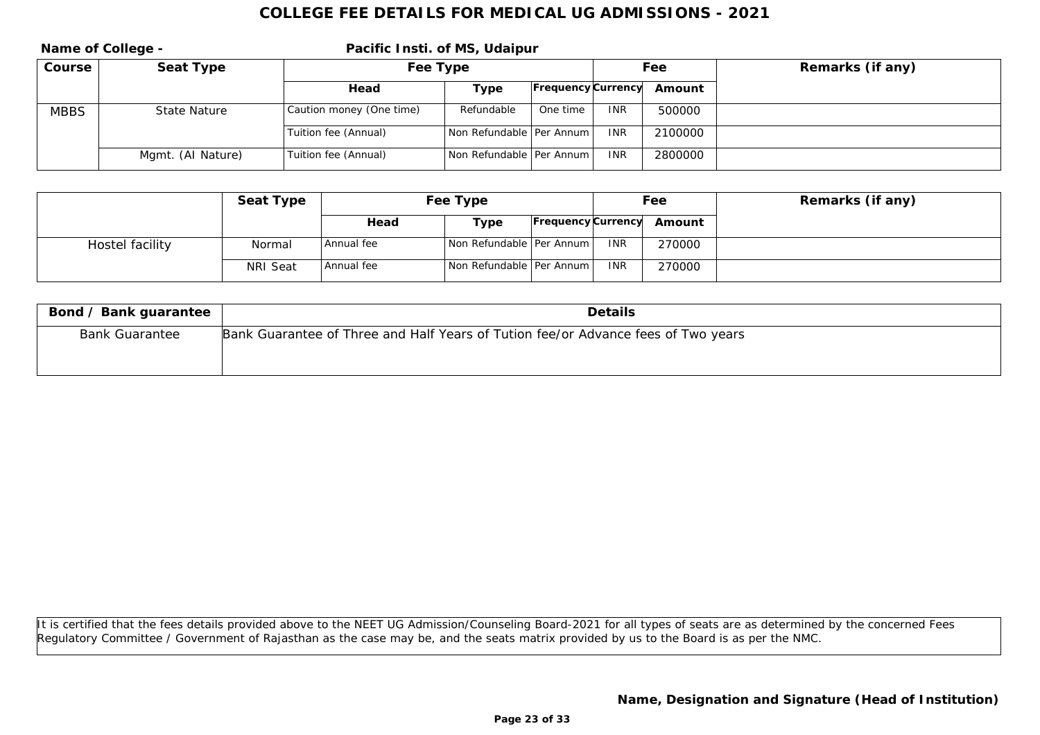|             | Name of College - | Pacific Insti. of MS, Udaipur |                            |                           |            |         |                  |  |
|-------------|-------------------|-------------------------------|----------------------------|---------------------------|------------|---------|------------------|--|
| Course      | Seat Type         | Fee Type                      |                            |                           | Fee        |         | Remarks (if any) |  |
|             |                   | Head                          | Type                       | <b>Frequency</b> Currency |            | Amount  |                  |  |
| <b>MBBS</b> | State Nature      | Caution money (One time)      | Refundable                 | One time                  | <b>INR</b> | 500000  |                  |  |
|             |                   | Tuition fee (Annual)          | Non Refundable   Per Annum |                           | <b>INR</b> | 2100000 |                  |  |
|             | Mgmt. (AI Nature) | Tuition fee (Annual)          | Non Refundable   Per Annum |                           | <b>INR</b> | 2800000 |                  |  |

|                 | Seat Type | Fee Type   |                                |                    | Fee        |        | Remarks (if any) |
|-----------------|-----------|------------|--------------------------------|--------------------|------------|--------|------------------|
|                 |           | Head       | Type                           | Frequency Currency |            | Amount |                  |
| Hostel facility | Normal    | Annual fee | Non Refundable   Per Annum     |                    | <b>INR</b> | 270000 |                  |
|                 | NRI Seat  | Annual fee | l Non Refundable I Per Annum I |                    | <b>INR</b> | 270000 |                  |

| Bond / Bank guarantee | <b>Details</b>                                                                    |
|-----------------------|-----------------------------------------------------------------------------------|
| <b>Bank Guarantee</b> | Bank Guarantee of Three and Half Years of Tution fee/or Advance fees of Two years |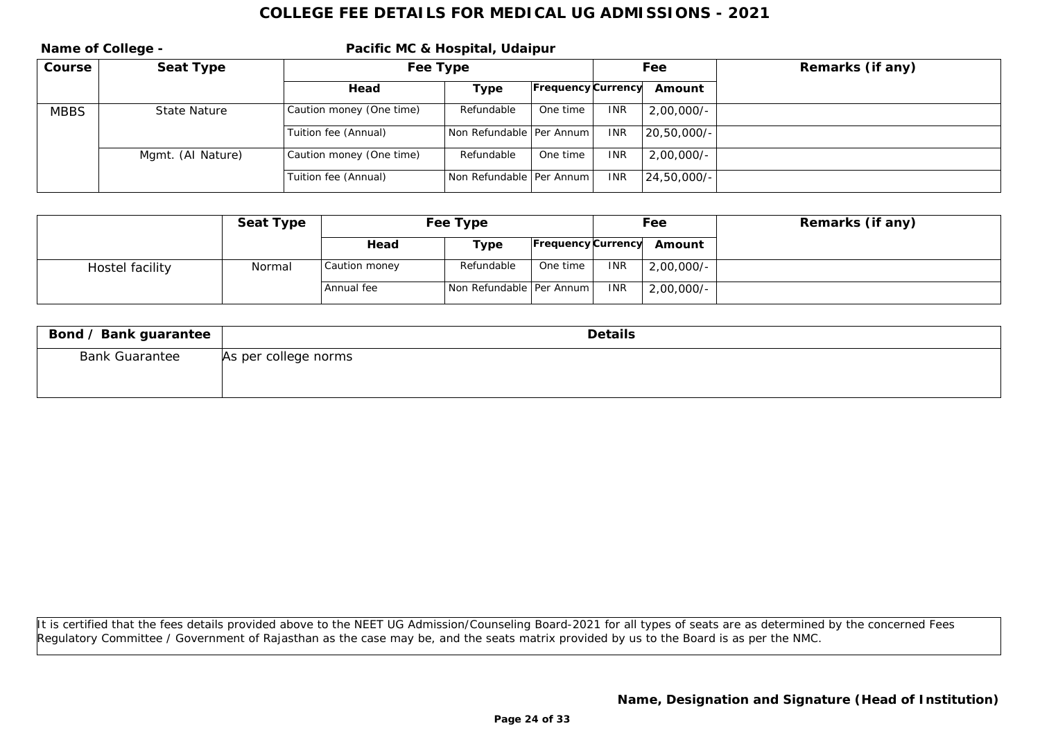| Name of College - |                   | Pacific MC & Hospital, Udaipur |                            |                    |            |               |                  |
|-------------------|-------------------|--------------------------------|----------------------------|--------------------|------------|---------------|------------------|
| Course            | Seat Type         | Fee Type                       |                            |                    | Fee        |               | Remarks (if any) |
|                   |                   | Head                           | Type                       | Frequency Currency |            | Amount        |                  |
| <b>MBBS</b>       | State Nature      | Caution money (One time)       | Refundable                 | One time           | <b>INR</b> | $2,00,000/-$  |                  |
|                   |                   | Tuition fee (Annual)           | Non Refundable   Per Annum |                    | <b>INR</b> | $20,50,000/-$ |                  |
|                   | Mgmt. (Al Nature) | Caution money (One time)       | Refundable                 | One time           | <b>INR</b> | $2,00,000/-$  |                  |
|                   |                   | Tuition fee (Annual)           | Non Refundable   Per Annum |                    | <b>INR</b> | $24,50,000/-$ |                  |

|                 | Seat Type | Fee Type      |                            |          | Fee        |                           | Remarks (if any) |
|-----------------|-----------|---------------|----------------------------|----------|------------|---------------------------|------------------|
|                 |           | Head          | Type                       |          |            | Frequency Currency Amount |                  |
| Hostel facility | Normal    | Caution money | Refundable                 | One time | <b>INR</b> | 2,00,000/-                |                  |
|                 |           | l Annual fee  | Non Refundable   Per Annum |          | <b>INR</b> | $2,00,000/$ -             |                  |

| Bond / Bank guarantee | Details              |
|-----------------------|----------------------|
| <b>Bank Guarantee</b> | As per college norms |
|                       |                      |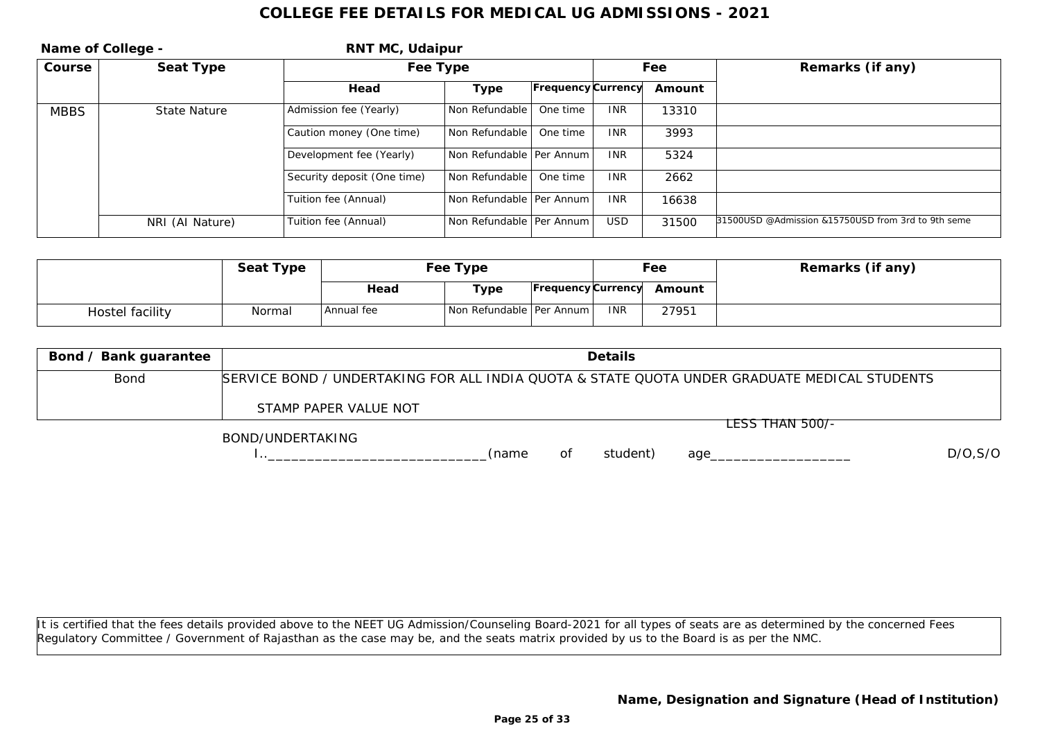| Name of College - |                 | RNT MC, Udaipur             |                            |                           |            |        |                                                    |
|-------------------|-----------------|-----------------------------|----------------------------|---------------------------|------------|--------|----------------------------------------------------|
| Course            | Seat Type       |                             | Fee Type                   |                           |            | Fee    | Remarks (if any)                                   |
|                   |                 | Head                        | Type                       | <b>Frequency Currency</b> |            | Amount |                                                    |
| <b>MBBS</b>       | State Nature    | Admission fee (Yearly)      | Non Refundable             | One time                  | <b>INR</b> | 13310  |                                                    |
|                   |                 | Caution money (One time)    | Non Refundable             | One time                  | <b>INR</b> | 3993   |                                                    |
|                   |                 | Development fee (Yearly)    | Non Refundable   Per Annum |                           | <b>INR</b> | 5324   |                                                    |
|                   |                 | Security deposit (One time) | Non Refundable             | One time                  | <b>INR</b> | 2662   |                                                    |
|                   |                 | Tuition fee (Annual)        | Non Refundable   Per Annum |                           | <b>INR</b> | 16638  |                                                    |
|                   | NRI (Al Nature) | Tuition fee (Annual)        | Non Refundable   Per Annum |                           | <b>USD</b> | 31500  | 31500USD @Admission &15750USD from 3rd to 9th seme |

|                 | Seat Type | Fee Type     |                            |  |            | Fee                       | Remarks (if any) |
|-----------------|-----------|--------------|----------------------------|--|------------|---------------------------|------------------|
|                 |           | Head         | Type                       |  |            | Frequency Currency Amount |                  |
| Hostel facility | Normal    | l Annual fee | Non Refundable   Per Annum |  | <b>INR</b> | 27951                     |                  |

| Bond / Bank guarantee | Details                                                                                                                                                                                                                                           |
|-----------------------|---------------------------------------------------------------------------------------------------------------------------------------------------------------------------------------------------------------------------------------------------|
| Bond                  | SERVICE BOND / UNDERTAKING FOR ALL INDIA QUOTA & STATE QUOTA UNDER GRADUATE MEDICAL STUDENTS                                                                                                                                                      |
|                       | STAMP PAPER VALUE NOT                                                                                                                                                                                                                             |
|                       | LESS THAN 500/-<br>$P(0,1)P(1,1)P(0,0)P(0,0)P(1,1)P(0,0)P(0,0)P(0,0)P(0,0)P(0,0)P(0,0)P(0,0)P(0,0)P(0,0)P(0,0)P(0,0)P(0,0)P(0,0)P(0,0)P(0,0)P(0,0)P(0,0)P(0,0)P(0,0)P(0,0)P(0,0)P(0,0)P(0,0)P(0,0)P(0,0)P(0,0)P(0,0)P(0,0)P(0,0)P(0,0)P(0,0)P(0,$ |

BOND/UNDERTAKING

I..\_\_\_\_\_\_\_\_\_\_\_\_\_\_\_\_\_\_\_\_\_\_\_\_\_\_\_\_(name of student) age\_\_\_\_\_\_\_\_\_\_\_\_\_\_\_\_\_\_ D/O,S/O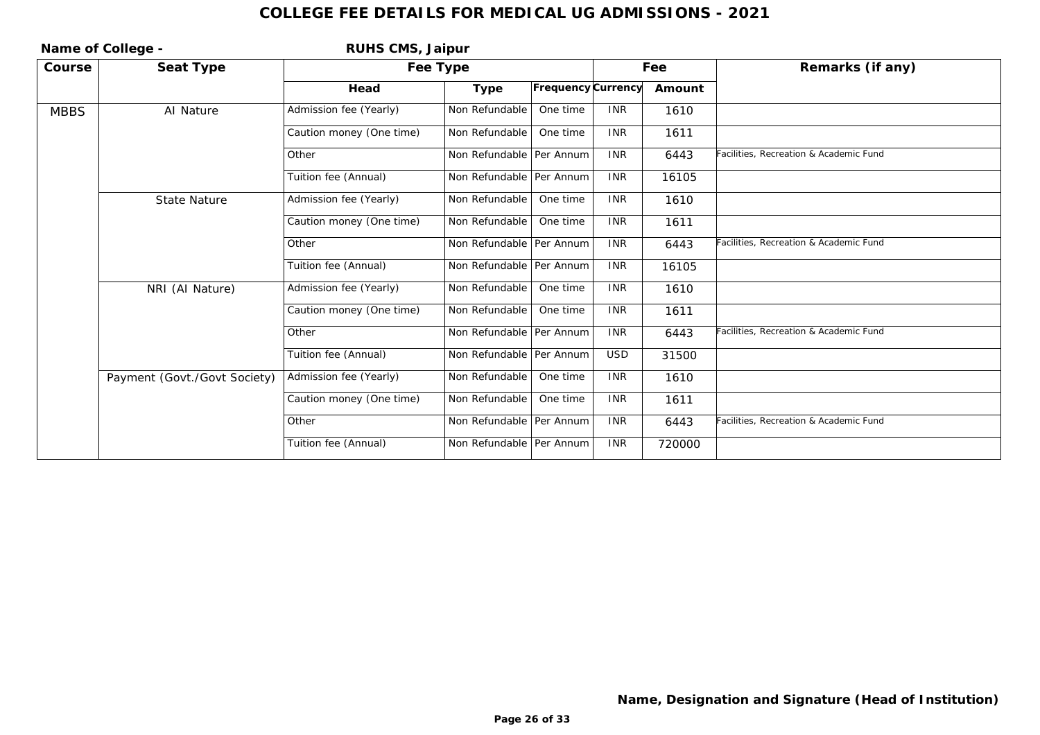| Name of College - |                              | RUHS CMS, Jaipur         |                            |                    |            |                  |                                        |
|-------------------|------------------------------|--------------------------|----------------------------|--------------------|------------|------------------|----------------------------------------|
| Course            | Seat Type                    | Fee Type                 |                            |                    | Fee        | Remarks (if any) |                                        |
|                   |                              | Head                     | Type                       | Frequency Currency |            | Amount           |                                        |
| <b>MBBS</b>       | Al Nature                    | Admission fee (Yearly)   | Non Refundable             | One time           | <b>INR</b> | 1610             |                                        |
|                   |                              | Caution money (One time) | Non Refundable             | One time           | <b>INR</b> | 1611             |                                        |
|                   |                              | Other                    | Non Refundable   Per Annum |                    | <b>INR</b> | 6443             | Facilities, Recreation & Academic Fund |
|                   |                              | Tuition fee (Annual)     | Non Refundable   Per Annum |                    | <b>INR</b> | 16105            |                                        |
|                   | <b>State Nature</b>          | Admission fee (Yearly)   | Non Refundable             | One time           | <b>INR</b> | 1610             |                                        |
|                   |                              | Caution money (One time) | Non Refundable             | One time           | <b>INR</b> | 1611             |                                        |
|                   |                              | Other                    | Non Refundable   Per Annum |                    | <b>INR</b> | 6443             | Facilities, Recreation & Academic Fund |
|                   |                              | Tuition fee (Annual)     | Non Refundable   Per Annum |                    | <b>INR</b> | 16105            |                                        |
|                   | NRI (Al Nature)              | Admission fee (Yearly)   | Non Refundable             | One time           | <b>INR</b> | 1610             |                                        |
|                   |                              | Caution money (One time) | Non Refundable             | One time           | <b>INR</b> | 1611             |                                        |
|                   |                              | Other                    | Non Refundable   Per Annum |                    | <b>INR</b> | 6443             | Facilities, Recreation & Academic Fund |
|                   |                              | Tuition fee (Annual)     | Non Refundable   Per Annum |                    | <b>USD</b> | 31500            |                                        |
|                   | Payment (Govt./Govt Society) | Admission fee (Yearly)   | Non Refundable             | One time           | <b>INR</b> | 1610             |                                        |
|                   |                              | Caution money (One time) | Non Refundable             | One time           | <b>INR</b> | 1611             |                                        |
|                   |                              | Other                    | Non Refundable   Per Annum |                    | <b>INR</b> | 6443             | Facilities, Recreation & Academic Fund |
|                   |                              | Tuition fee (Annual)     | Non Refundable   Per Annum |                    | <b>INR</b> | 720000           |                                        |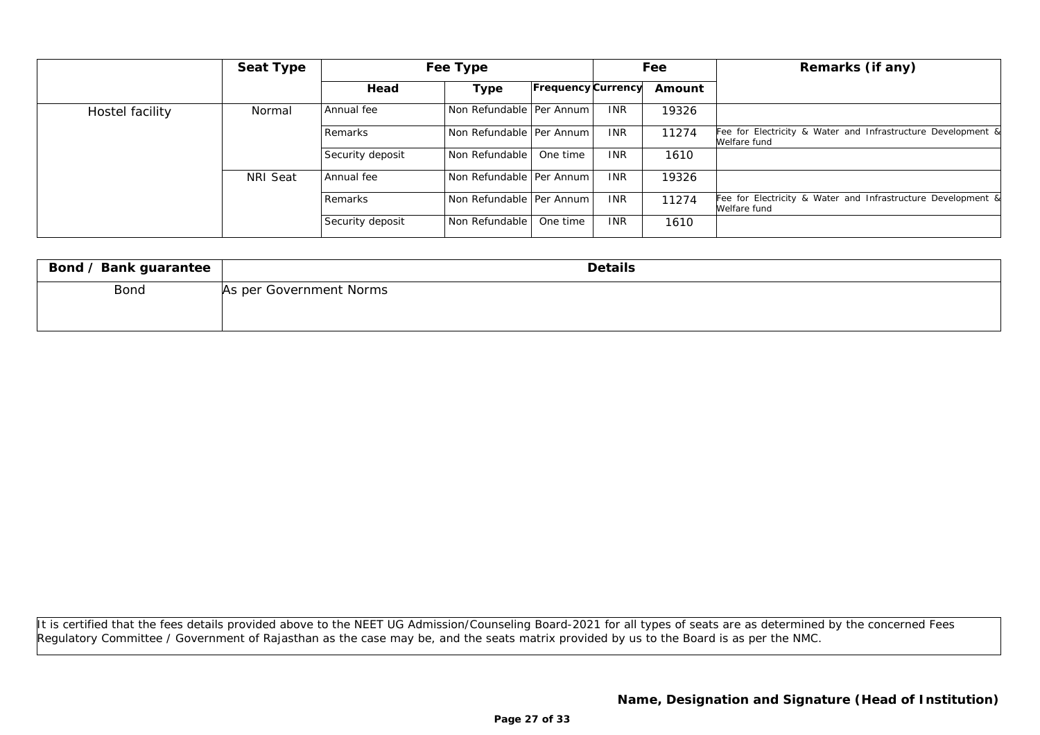|                 | Seat Type |                  | Fee Type                   |                    |            | Fee    | Remarks (if any)                                                             |
|-----------------|-----------|------------------|----------------------------|--------------------|------------|--------|------------------------------------------------------------------------------|
|                 |           | Head             | Type                       | Frequency Currency |            | Amount |                                                                              |
| Hostel facility | Normal    | Annual fee       | Non Refundable   Per Annum |                    | <b>INR</b> | 19326  |                                                                              |
|                 |           | Remarks          | Non Refundable   Per Annum |                    | <b>INR</b> | 11274  | Fee for Electricity & Water and Infrastructure Development &<br>Welfare fund |
|                 |           | Security deposit | l Non Refundable           | One time           | <b>INR</b> | 1610   |                                                                              |
|                 | NRI Seat  | Annual fee       | Non Refundable   Per Annum |                    | <b>INR</b> | 19326  |                                                                              |
|                 |           | Remarks          | Non Refundable   Per Annum |                    | <b>INR</b> | 11274  | Fee for Electricity & Water and Infrastructure Development &<br>Welfare fund |
|                 |           | Security deposit | Non Refundable             | One time           | <b>INR</b> | 1610   |                                                                              |

| Bond / Bank guarantee | Details                 |
|-----------------------|-------------------------|
| Bond                  | As per Government Norms |
|                       |                         |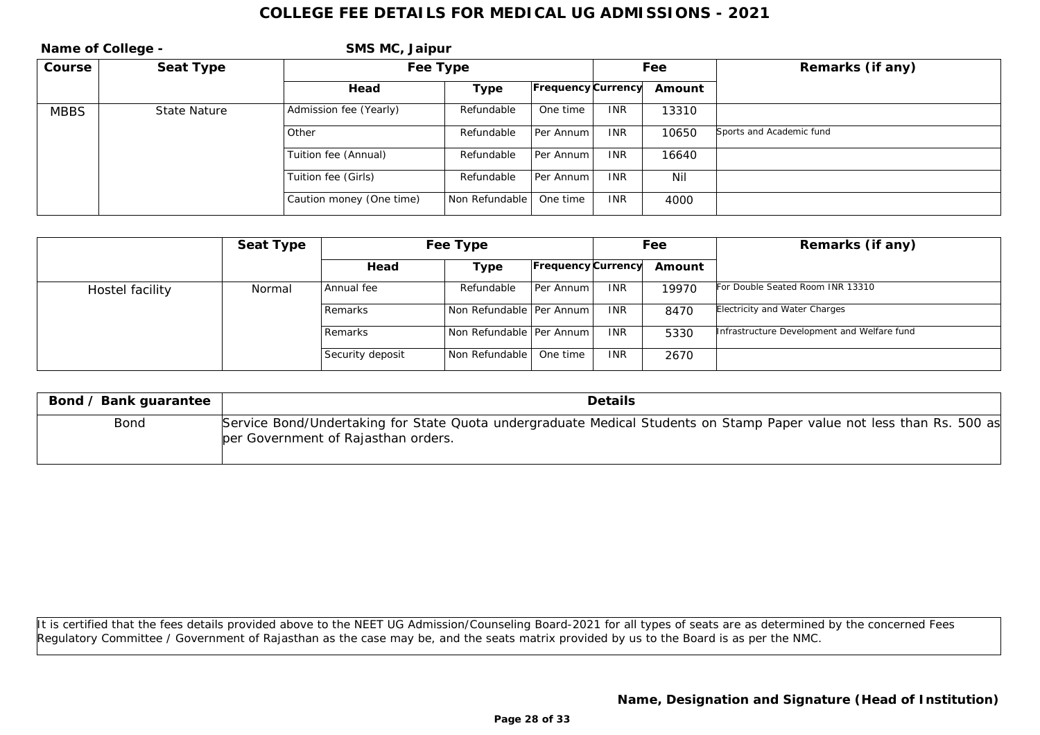| Name of College - |              | SMS MC, Jaipur           |                |                    |            |                  |                          |
|-------------------|--------------|--------------------------|----------------|--------------------|------------|------------------|--------------------------|
| Course            | Seat Type    | Fee Type                 |                |                    | Fee        | Remarks (if any) |                          |
|                   |              | Head                     | Type           | Frequency Currency |            | Amount           |                          |
| <b>MBBS</b>       | State Nature | Admission fee (Yearly)   | Refundable     | One time           | <b>INR</b> | 13310            |                          |
|                   |              | Other                    | Refundable     | Per Annum          | <b>INR</b> | 10650            | Sports and Academic fund |
|                   |              | Tuition fee (Annual)     | Refundable     | Per Annum          | <b>INR</b> | 16640            |                          |
|                   |              | Tuition fee (Girls)      | Refundable     | Per Annum          | <b>INR</b> | Nil              |                          |
|                   |              | Caution money (One time) | Non Refundable | One time           | <b>INR</b> | 4000             |                          |

|                 | Seat Type | Fee Type         |                            |                           | Fee        |        | Remarks (if any)                            |
|-----------------|-----------|------------------|----------------------------|---------------------------|------------|--------|---------------------------------------------|
|                 |           | Head             | Type                       | <b>Frequency Currency</b> |            | Amount |                                             |
| Hostel facility | Normal    | Annual fee       | Refundable                 | Per Annum I               | <b>INR</b> | 19970  | For Double Seated Room INR 13310            |
|                 |           | <b>Remarks</b>   | Non Refundable   Per Annum |                           | <b>INR</b> | 8470   | Electricity and Water Charges               |
|                 |           | <b>Remarks</b>   | Non Refundable Per Annum L |                           | <b>INR</b> | 5330   | Infrastructure Development and Welfare fund |
|                 |           | Security deposit | Non Refundable             | One time                  | <b>INR</b> | 2670   |                                             |

| Bond / Bank guarantee | <b>Details</b>                                                                                                                                               |
|-----------------------|--------------------------------------------------------------------------------------------------------------------------------------------------------------|
| Bond                  | Service Bond/Undertaking for State Quota undergraduate Medical Students on Stamp Paper value not less than Rs. 500 as<br>per Government of Rajasthan orders. |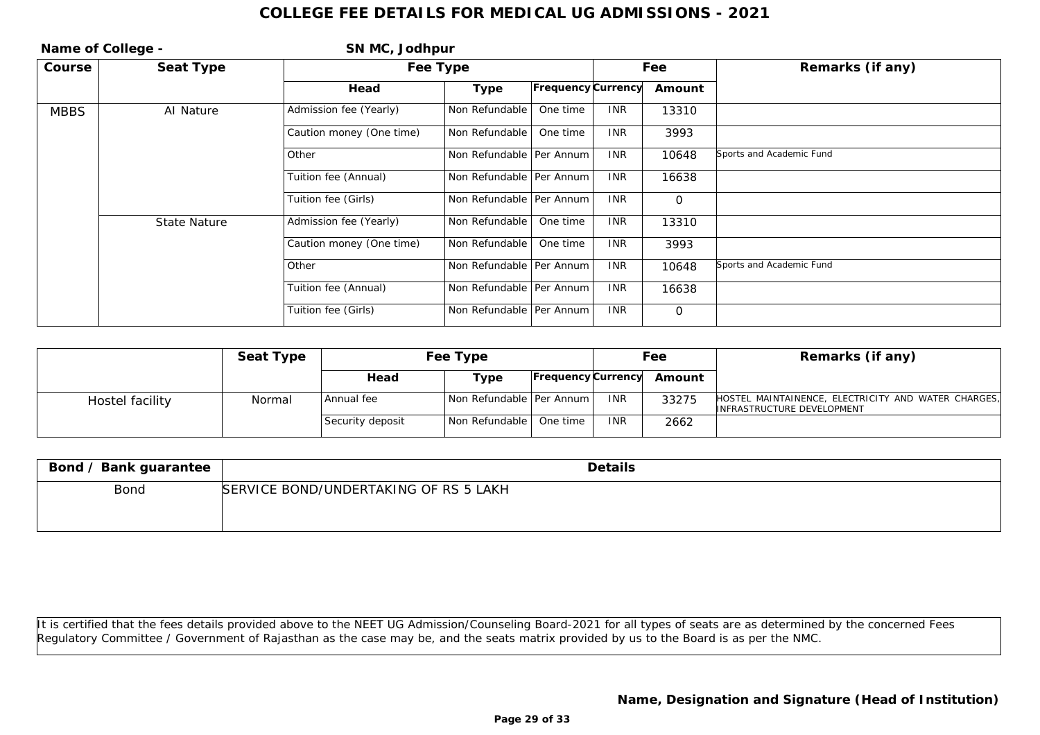| Name of College - |              | SN MC, Jodhpur           |                            |                    |            |                |                          |
|-------------------|--------------|--------------------------|----------------------------|--------------------|------------|----------------|--------------------------|
| Course            | Seat Type    | Fee Type                 |                            |                    |            | Fee            | Remarks (if any)         |
|                   |              | Head                     | Type                       | Frequency Currency |            | Amount         |                          |
| <b>MBBS</b>       | Al Nature    | Admission fee (Yearly)   | Non Refundable             | One time           | <b>INR</b> | 13310          |                          |
|                   |              | Caution money (One time) | Non Refundable             | One time           | <b>INR</b> | 3993           |                          |
|                   |              | l Other                  | Non Refundable   Per Annum |                    | <b>INR</b> | 10648          | Sports and Academic Fund |
|                   |              | Tuition fee (Annual)     | Non Refundable   Per Annum |                    | <b>INR</b> | 16638          |                          |
|                   |              | Tuition fee (Girls)      | Non Refundable   Per Annum |                    | <b>INR</b> | $\overline{O}$ |                          |
|                   | State Nature | Admission fee (Yearly)   | Non Refundable             | One time           | <b>INR</b> | 13310          |                          |
|                   |              | Caution money (One time) | Non Refundable             | One time           | <b>INR</b> | 3993           |                          |
|                   |              | l Other                  | Non Refundable   Per Annum |                    | <b>INR</b> | 10648          | Sports and Academic Fund |
|                   |              | Tuition fee (Annual)     | Non Refundable   Per Annum |                    | <b>INR</b> | 16638          |                          |
|                   |              | Tuition fee (Girls)      | Non Refundable   Per Annum |                    | <b>INR</b> | $\overline{O}$ |                          |

|                 | Seat Type | Fee Type         |                            | Fee                |            | Remarks (if any) |                                                                                   |
|-----------------|-----------|------------------|----------------------------|--------------------|------------|------------------|-----------------------------------------------------------------------------------|
|                 |           | Head             | туре                       | Frequency Currency |            | Amount           |                                                                                   |
| Hostel facility | Normal    | Annual fee       | Non Refundable   Per Annum |                    | <b>INR</b> | 33275            | HOSTEL MAINTAINENCE, ELECTRICITY AND WATER CHARGES,<br>INFRASTRUCTURE DEVELOPMENT |
|                 |           | Security deposit | Non Refundable   One time  |                    | <b>INR</b> | 2662             |                                                                                   |

| Bond / Bank guarantee | Details                               |
|-----------------------|---------------------------------------|
| Bond                  | SERVICE BOND/UNDERTAKING OF RS 5 LAKH |
|                       |                                       |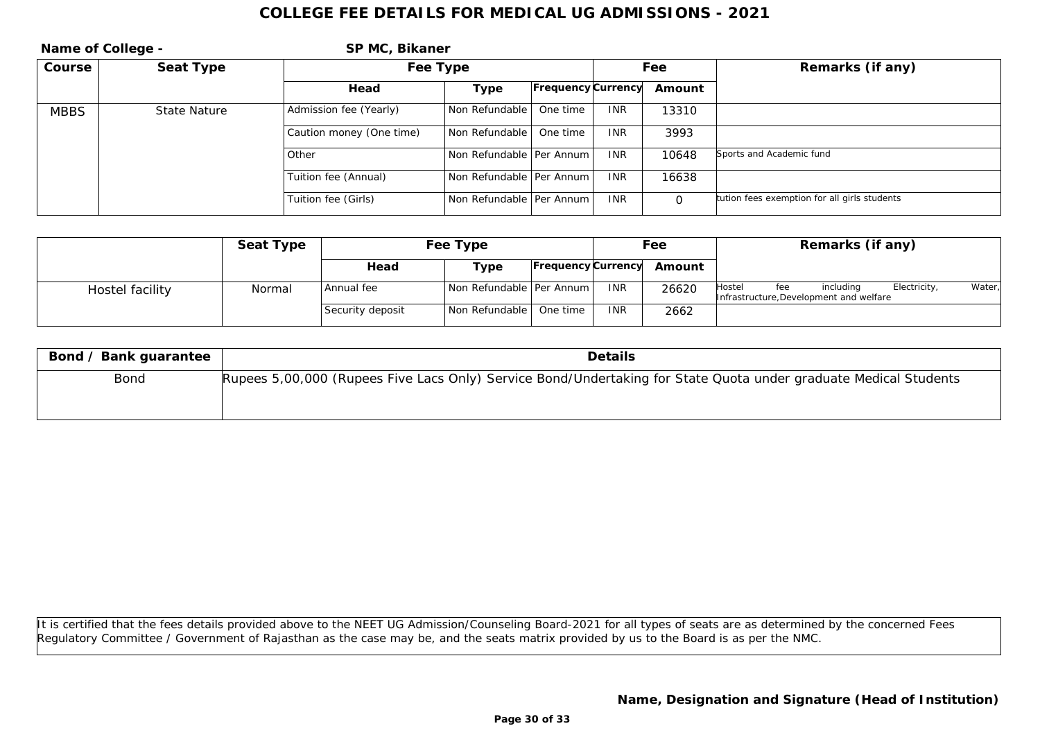|             | Name of College - | SP MC, Bikaner           |                            |                           |            |          |                                              |
|-------------|-------------------|--------------------------|----------------------------|---------------------------|------------|----------|----------------------------------------------|
| Course      | Seat Type         | Fee Type                 |                            |                           |            | Fee      | Remarks (if any)                             |
|             |                   | Head                     | Type                       | <b>Frequency Currency</b> |            | Amount   |                                              |
| <b>MBBS</b> | State Nature      | Admission fee (Yearly)   | Non Refundable             | One time                  | <b>INR</b> | 13310    |                                              |
|             |                   | Caution money (One time) | Non Refundable             | One time                  | <b>INR</b> | 3993     |                                              |
|             |                   | l Other                  | Non Refundable   Per Annum |                           | <b>INR</b> | 10648    | Sports and Academic fund                     |
|             |                   | Tuition fee (Annual)     | Non Refundable   Per Annum |                           | <b>INR</b> | 16638    |                                              |
|             |                   | Tuition fee (Girls)      | Non Refundable   Per Annum |                           | <b>INR</b> | $\Omega$ | tution fees exemption for all girls students |

|                 | Seat Type |                  | Fee Type                   |                           |            | Fee    |        |     | Remarks (if any)                                     |              |        |
|-----------------|-----------|------------------|----------------------------|---------------------------|------------|--------|--------|-----|------------------------------------------------------|--------------|--------|
|                 |           | Head             | Type                       | <b>Frequency Currency</b> |            | Amount |        |     |                                                      |              |        |
| Hostel facility | Normal    | Annual fee       | Non Refundable   Per Annum |                           | <b>INR</b> | 26620  | Hostel | fee | includina<br>Infrastructure, Development and welfare | Electricity, | Water, |
|                 |           | Security deposit | Non Refundable   One time  |                           | <b>INR</b> | 2662   |        |     |                                                      |              |        |

| Bond / Bank guarantee | Details                                                                                                          |
|-----------------------|------------------------------------------------------------------------------------------------------------------|
| Bond                  | Rupees 5,00,000 (Rupees Five Lacs Only) Service Bond/Undertaking for State Quota under graduate Medical Students |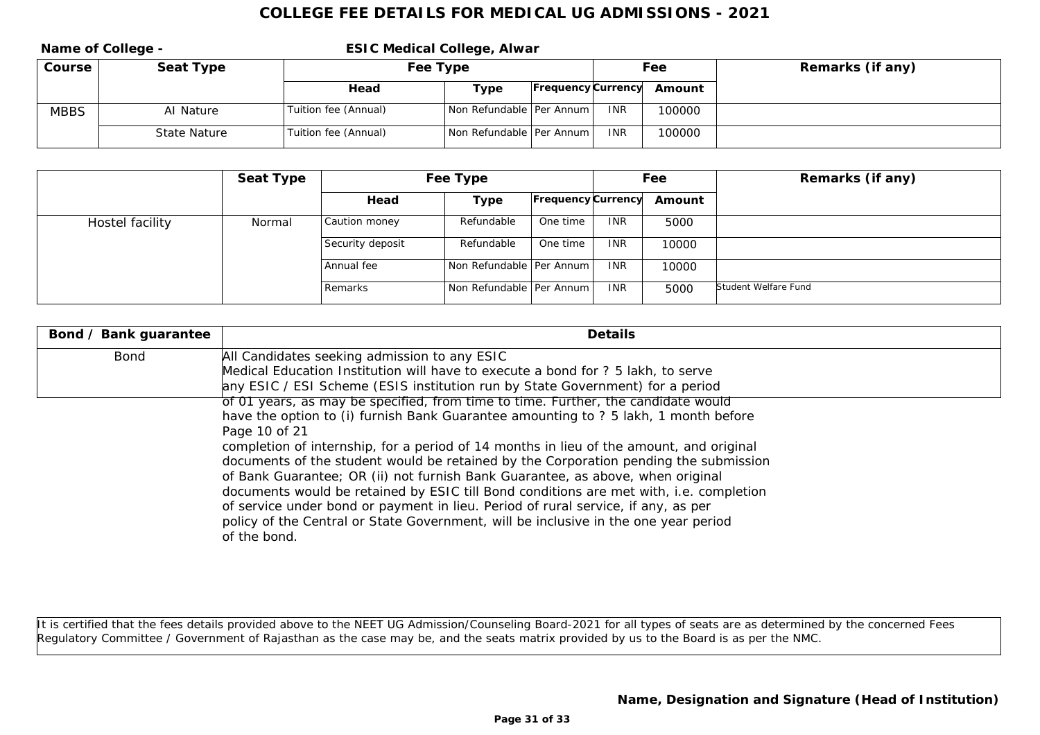**Name of College - The College State College, Alwar Course Seat Type Fee Type Fee Type Fee Fee Remarks** (if any) **Head Type Frequency Currency Amount** MBBS AI Nature Tuition fee (Annual) Non Refundable Per Annum INR 100000 State Nature Tuition fee (Annual) Non Refundable Per Annum INR 100000

|                 | Seat Type |                  | Fee Type                   |                           |            | Fee    | Remarks (if any)     |
|-----------------|-----------|------------------|----------------------------|---------------------------|------------|--------|----------------------|
|                 |           | Head             | Type                       | <b>Frequency</b> Currency |            | Amount |                      |
| Hostel facility | Normal    | Caution money    | Refundable                 | One time                  | <b>INR</b> | 5000   |                      |
|                 |           | Security deposit | Refundable                 | One time                  | <b>INR</b> | 10000  |                      |
|                 |           | Annual fee       | Non Refundable Per Annum   |                           | <b>INR</b> | 10000  |                      |
|                 |           | Remarks          | Non Refundable Per Annum L |                           | <b>INR</b> | 5000   | Student Welfare Fund |

| Bond / Bank guarantee | Details                                                                                             |
|-----------------------|-----------------------------------------------------------------------------------------------------|
| Bond                  | All Candidates seeking admission to any ESIC                                                        |
|                       | Medical Education Institution will have to execute a bond for ? 5 lakh, to serve                    |
|                       | any ESIC / ESI Scheme (ESIS institution run by State Government) for a period                       |
|                       | of 01 years, as may be specified, from time to time. Further, the candidate would                   |
|                       | have the option to (i) furnish Bank Guarantee amounting to ? 5 lakh, 1 month before                 |
|                       | Page 10 of 21                                                                                       |
|                       | completion of internship, for a period of 14 months in lieu of the amount, and original             |
|                       | documents of the student would be retained by the Corporation pending the submission                |
|                       | of Bank Guarantee; OR (ii) not furnish Bank Guarantee, as above, when original                      |
|                       | documents would be retained by ESIC till Bond conditions are met with, i.e. completion              |
|                       | of service under bond or payment in lieu. Period of rural service, if any, as per                   |
|                       | policy of the Central or State Government, will be inclusive in the one year period<br>of the bond. |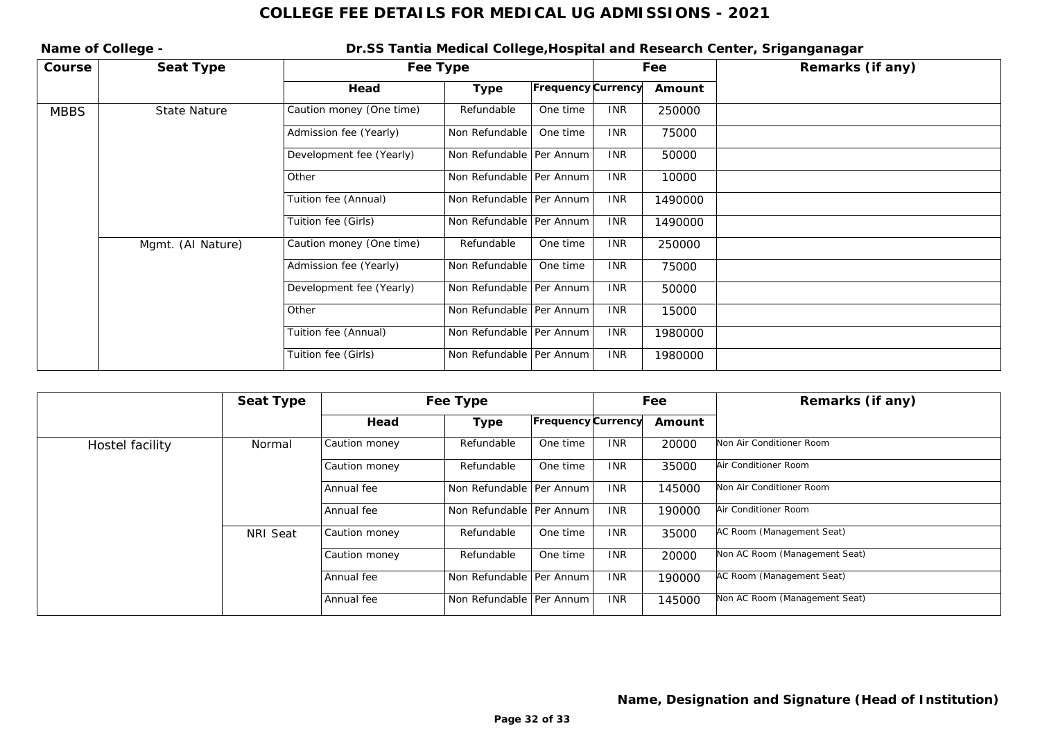Name of College - **Name of College -** Dr.SS Tantia Medical College, Hospital and Research Center, Sriganganagar **Course Seat Type Fee Type Fee Type Fee Remarks** (if any) **Head Type Frequency Currency Amount** MBBS State Nature Caution money (One time) Refundable One time INR 250000 Admission fee (Yearly) Non Refundable One time INR 75000 Development fee (Yearly) Non Refundable Per Annum INR 50000 Other Non Refundable Per Annum INR 10000 Tuition fee (Annual) Non Refundable Per Annum INR 1490000 Tuition fee (Girls) Non Refundable Per Annum INR 1490000 Mgmt. (AI Nature) Caution money (One time) Refundable One time INR <sup>250000</sup> Admission fee (Yearly) Non Refundable | One time | INR | 75000 Development fee (Yearly) Non Refundable Per Annum INR 50000 Other Non Refundable Per Annum INR 15000 Tuition fee (Annual) | Non Refundable Per Annum | INR | 1980000 Tuition fee (Girls) Non Refundable Per Annum INR 1980000

|                 | Seat Type |               | Fee Type                   |                    |            | Fee    | Remarks (if any)              |
|-----------------|-----------|---------------|----------------------------|--------------------|------------|--------|-------------------------------|
|                 |           | Head          | Type                       | Frequency Currency |            | Amount |                               |
| Hostel facility | Normal    | Caution money | Refundable                 | One time           | <b>INR</b> | 20000  | Non Air Conditioner Room      |
|                 |           | Caution money | Refundable                 | One time           | <b>INR</b> | 35000  | Air Conditioner Room          |
|                 |           | Annual fee    | Non Refundable   Per Annum |                    | <b>INR</b> | 145000 | Non Air Conditioner Room      |
|                 |           | Annual fee    | Non Refundable   Per Annum |                    | <b>INR</b> | 190000 | Air Conditioner Room          |
|                 | NRI Seat  | Caution money | Refundable                 | One time           | <b>INR</b> | 35000  | AC Room (Management Seat)     |
|                 |           | Caution money | Refundable                 | One time           | <b>INR</b> | 20000  | Non AC Room (Management Seat) |
|                 |           | Annual fee    | Non Refundable   Per Annum |                    | <b>INR</b> | 190000 | AC Room (Management Seat)     |
|                 |           | Annual fee    | Non Refundable   Per Annum |                    | <b>INR</b> | 145000 | Non AC Room (Management Seat) |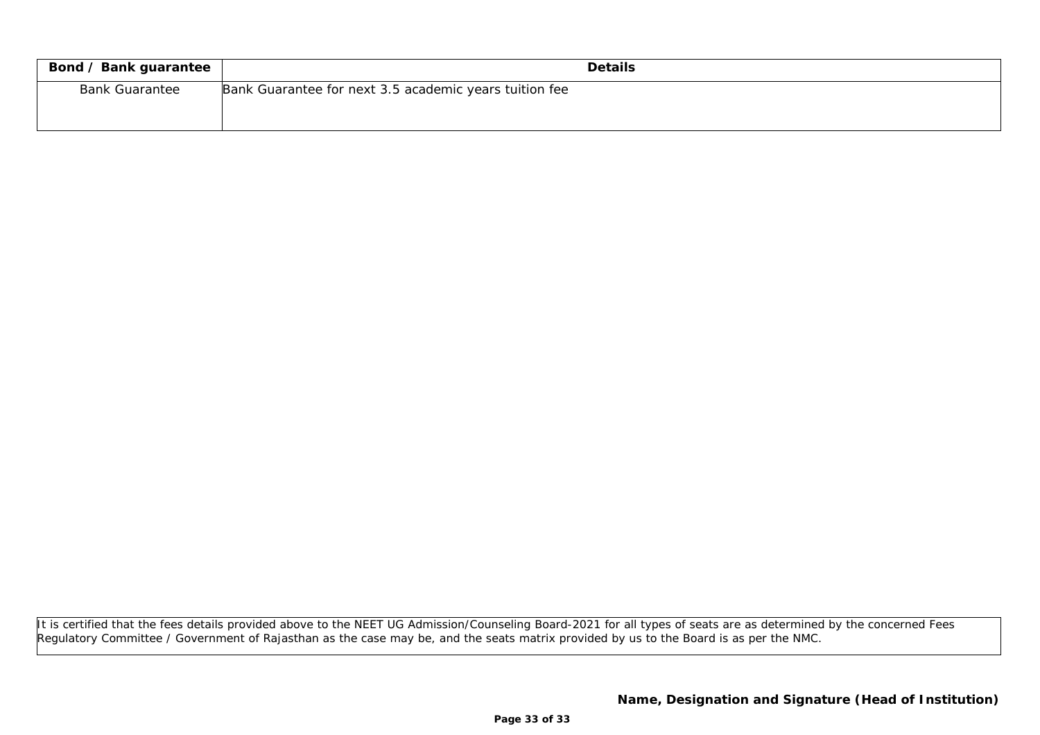| Bond / Bank guarantee | Details                                                |
|-----------------------|--------------------------------------------------------|
| <b>Bank Guarantee</b> | Bank Guarantee for next 3.5 academic years tuition fee |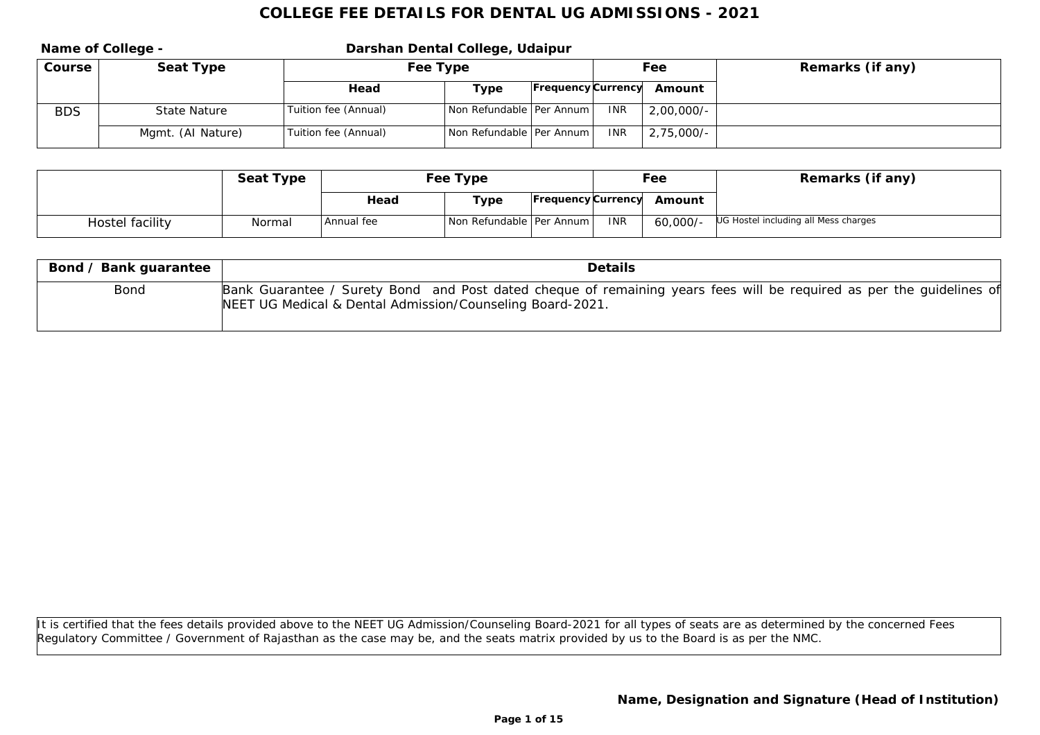|            | Name of College - |                      | Darshan Dental College, Udaipur |                           |            |              |                  |  |  |
|------------|-------------------|----------------------|---------------------------------|---------------------------|------------|--------------|------------------|--|--|
| Course     | Seat Type         | Fee Type             |                                 |                           | Fee        |              | Remarks (if any) |  |  |
|            |                   | Head                 | Type                            | <b>Frequency Currency</b> |            | Amount       |                  |  |  |
| <b>BDS</b> | State Nature      | Tuition fee (Annual) | Non Refundable   Per Annum      |                           | <b>INR</b> | $2,00,000/-$ |                  |  |  |
|            | Mgmt. (Al Nature) | Tuition fee (Annual) | Non Refundable   Per Annum      |                           | <b>INR</b> | $2,75,000/-$ |                  |  |  |

|                 | Seat Type | Fee Type   |                            |  |            | Fee                       | Remarks (if any)                     |
|-----------------|-----------|------------|----------------------------|--|------------|---------------------------|--------------------------------------|
|                 |           | Head       | Гуре                       |  |            | Frequency Currency Amount |                                      |
| Hostel facility | Normal    | Annual fee | Non Refundable   Per Annum |  | <b>INR</b> | 60,000/-                  | UG Hostel including all Mess charges |

| Bond / Bank guarantee | Details                                                                                                                                                                           |
|-----------------------|-----------------------------------------------------------------------------------------------------------------------------------------------------------------------------------|
| Bond                  | Bank Guarantee / Surety Bond and Post dated cheque of remaining years fees will be required as per the guidelines of<br>NEET UG Medical & Dental Admission/Counseling Board-2021. |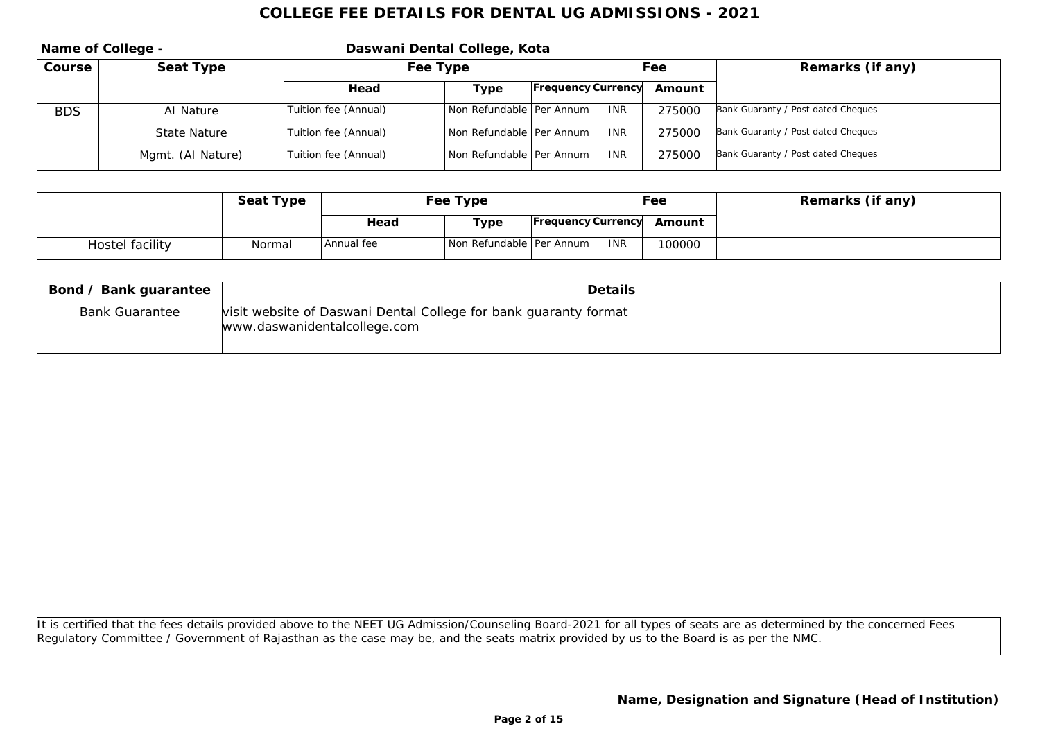|            | Name of College - | Daswani Dental College, Kota |                            |                           |            |        |                                    |
|------------|-------------------|------------------------------|----------------------------|---------------------------|------------|--------|------------------------------------|
| Course     | Seat Type         | Fee Type                     |                            |                           | Fee        |        | Remarks (if any)                   |
|            |                   | Head                         | Type                       | <b>Frequency Currency</b> |            | Amount |                                    |
| <b>BDS</b> | Al Nature         | Tuition fee (Annual)         | Non Refundable   Per Annum |                           | <b>INR</b> | 275000 | Bank Guaranty / Post dated Cheques |
|            | State Nature      | Tuition fee (Annual)         | Non Refundable   Per Annum |                           | <b>INR</b> | 275000 | Bank Guaranty / Post dated Cheques |
|            | Mgmt. (AI Nature) | Tuition fee (Annual)         | Non Refundable   Per Annum |                           | <b>INR</b> | 275000 | Bank Guaranty / Post dated Cheques |

|                 | Seat Type | Fee Type   |                            |  |            | Fee                       | Remarks (if any) |
|-----------------|-----------|------------|----------------------------|--|------------|---------------------------|------------------|
|                 |           | Head       | Type                       |  |            | Frequency Currency Amount |                  |
| Hostel facility | Normal    | Annual fee | Non Refundable   Per Annum |  | <b>INR</b> | 100000                    |                  |

| Bond / Bank guarantee | Details                                                                                          |  |  |  |  |  |  |
|-----------------------|--------------------------------------------------------------------------------------------------|--|--|--|--|--|--|
| <b>Bank Guarantee</b> | visit website of Daswani Dental College for bank guaranty format<br>www.daswanidentalcollege.com |  |  |  |  |  |  |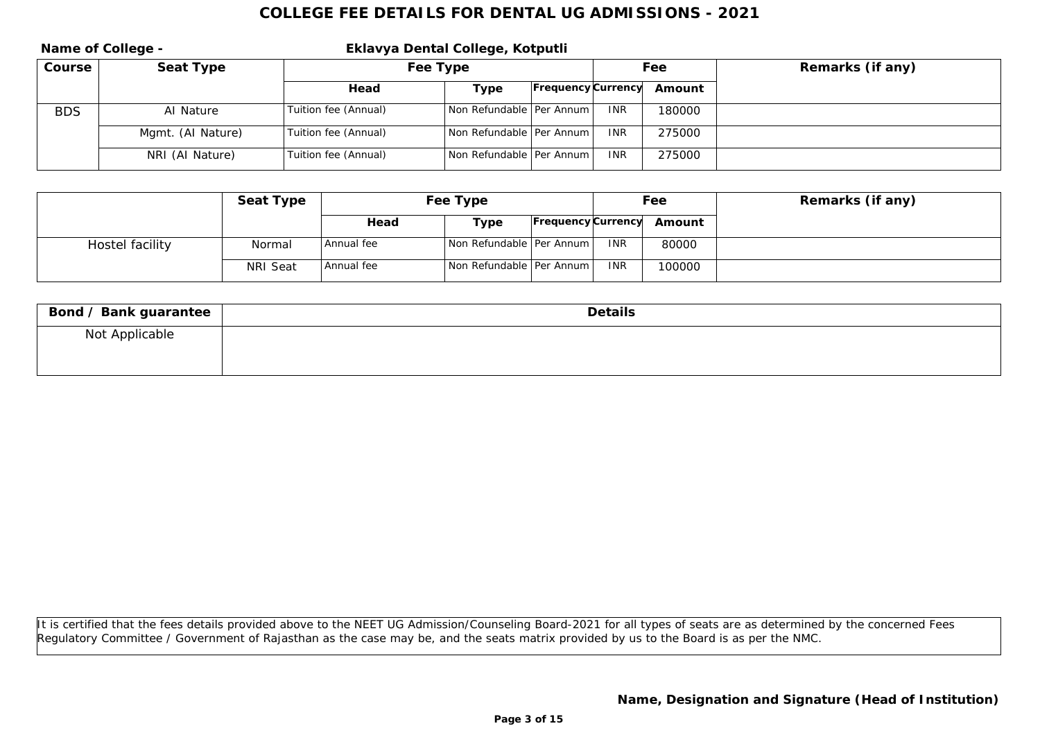|            | Name of College - | Eklavya Dental College, Kotputli |                            |                           |            |        |                  |  |
|------------|-------------------|----------------------------------|----------------------------|---------------------------|------------|--------|------------------|--|
| Course     | Seat Type         | Fee Type                         |                            |                           | Fee        |        | Remarks (if any) |  |
|            |                   | Head                             | Type                       | <b>Frequency Currency</b> |            | Amount |                  |  |
| <b>BDS</b> | Al Nature         | Tuition fee (Annual)             | Non Refundable   Per Annum |                           | INR.       | 180000 |                  |  |
|            | Mgmt. (Al Nature) | Tuition fee (Annual)             | Non Refundable   Per Annum |                           | <b>INR</b> | 275000 |                  |  |
|            | NRI (Al Nature)   | Tuition fee (Annual)             | Non Refundable   Per Annum |                           | <b>INR</b> | 275000 |                  |  |

|                 | Seat Type | Fee Type   |                            |  | Fee        |                           | Remarks (if any) |
|-----------------|-----------|------------|----------------------------|--|------------|---------------------------|------------------|
|                 |           | Head       | Type                       |  |            | Frequency Currency Amount |                  |
| Hostel facility | Normal    | Annual fee | Non Refundable   Per Annum |  | <b>INR</b> | 80000                     |                  |
|                 | NRI Seat  | Annual fee | Non Refundable   Per Annum |  | <b>INR</b> | 100000                    |                  |

| Bond / Bank guarantee | Details |
|-----------------------|---------|
| Not Applicable        |         |
|                       |         |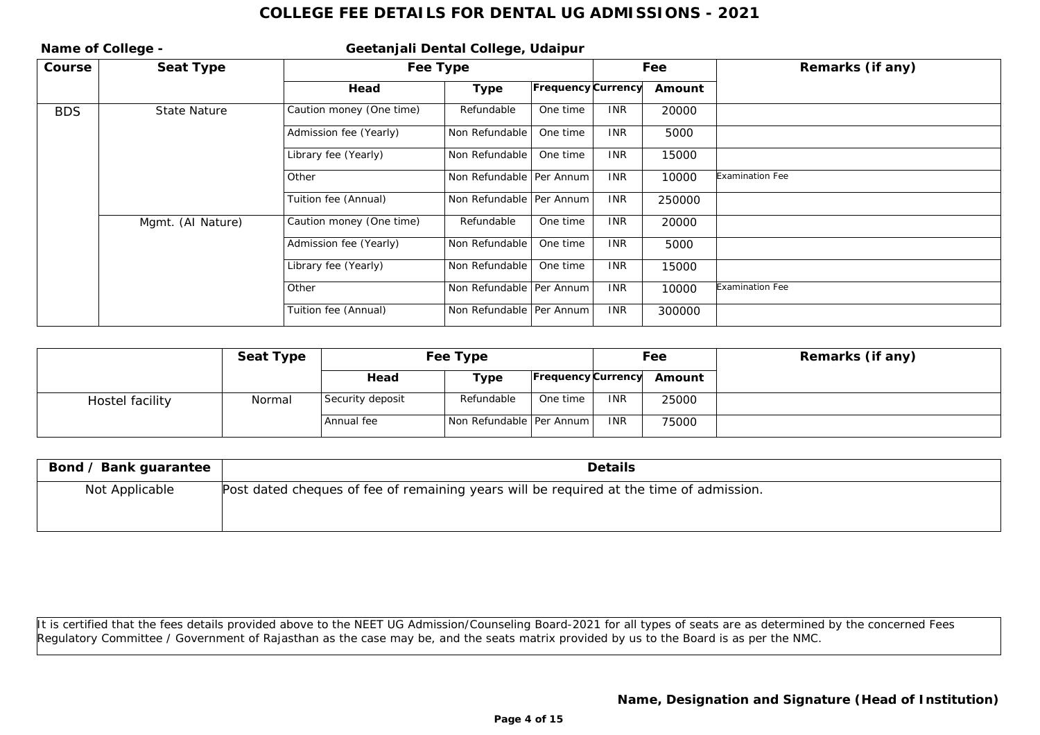| Name of College - |                   |                          | Geetanjali Dental College, Udaipur |                    |            |        |                  |
|-------------------|-------------------|--------------------------|------------------------------------|--------------------|------------|--------|------------------|
| Course            | Seat Type         |                          | Fee Type                           |                    |            | Fee    | Remarks (if any) |
|                   |                   | Head                     | Type                               | Frequency Currency |            | Amount |                  |
| <b>BDS</b>        | State Nature      | Caution money (One time) | Refundable                         | One time           | <b>INR</b> | 20000  |                  |
|                   |                   | Admission fee (Yearly)   | Non Refundable                     | One time           | <b>INR</b> | 5000   |                  |
|                   |                   | Library fee (Yearly)     | Non Refundable                     | One time           | <b>INR</b> | 15000  |                  |
|                   |                   | Other                    | Non Refundable   Per Annum         |                    | <b>INR</b> | 10000  | Examination Fee  |
|                   |                   | Tuition fee (Annual)     | Non Refundable   Per Annum         |                    | <b>INR</b> | 250000 |                  |
|                   | Mgmt. (Al Nature) | Caution money (One time) | Refundable                         | One time           | <b>INR</b> | 20000  |                  |
|                   |                   | Admission fee (Yearly)   | Non Refundable                     | One time           | <b>INR</b> | 5000   |                  |
|                   |                   | Library fee (Yearly)     | Non Refundable                     | One time           | <b>INR</b> | 15000  |                  |
|                   |                   | Other                    | Non Refundable   Per Annum         |                    | <b>INR</b> | 10000  | Examination Fee  |
|                   |                   | Tuition fee (Annual)     | Non Refundable   Per Annum         |                    | <b>INR</b> | 300000 |                  |

|                 | Seat Type | Fee Type         |                            |          | Fee        |                           | Remarks (if any) |
|-----------------|-----------|------------------|----------------------------|----------|------------|---------------------------|------------------|
|                 |           | Head             | Type                       |          |            | Frequency Currency Amount |                  |
| Hostel facility | Normal    | Security deposit | Refundable                 | One time | <b>INR</b> | 25000                     |                  |
|                 |           | Annual fee       | Non Refundable   Per Annum |          | <b>INR</b> | 75000                     |                  |

| Bond / Bank guarantee | <b>Details</b>                                                                          |
|-----------------------|-----------------------------------------------------------------------------------------|
| Not Applicable        | Post dated cheques of fee of remaining years will be required at the time of admission. |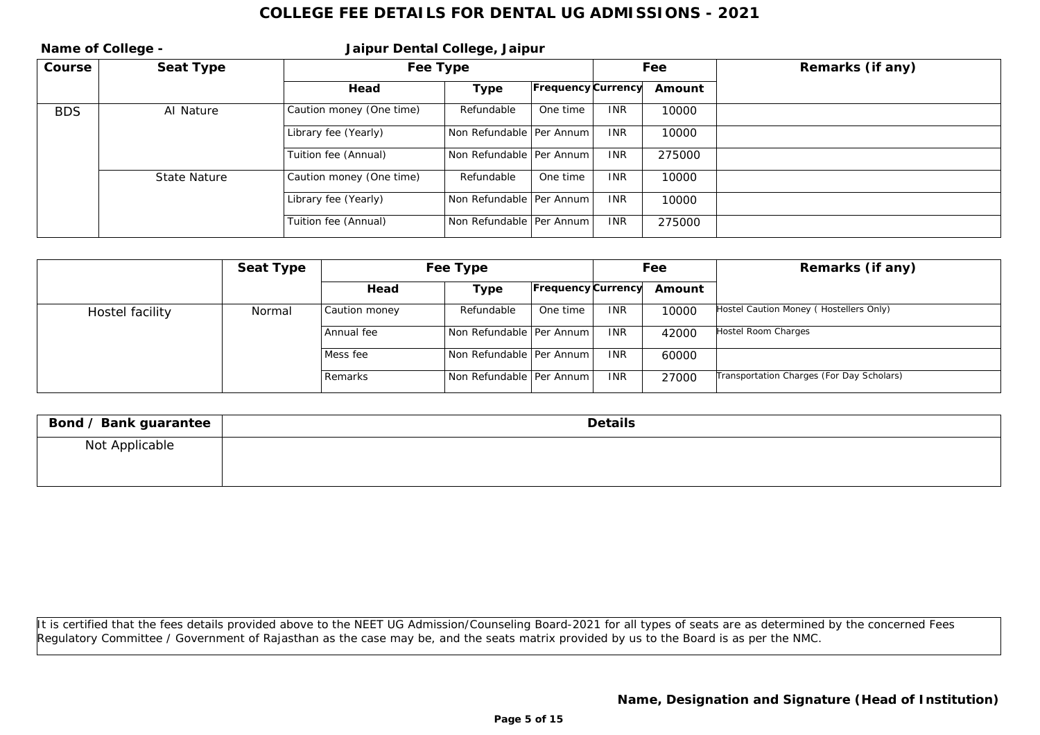|            | Name of College - | Jaipur Dental College, Jaipur |                            |                           |            |        |                  |
|------------|-------------------|-------------------------------|----------------------------|---------------------------|------------|--------|------------------|
| Course     | Seat Type         | Fee Type                      |                            |                           |            | Fee    | Remarks (if any) |
|            |                   | Head                          | Type                       | <b>Frequency Currency</b> |            | Amount |                  |
| <b>BDS</b> | Al Nature         | Caution money (One time)      | Refundable                 | One time                  | <b>INR</b> | 10000  |                  |
|            |                   | Library fee (Yearly)          | Non Refundable   Per Annum |                           | <b>INR</b> | 10000  |                  |
|            |                   | Tuition fee (Annual)          | Non Refundable   Per Annum |                           | <b>INR</b> | 275000 |                  |
|            | State Nature      | Caution money (One time)      | Refundable                 | One time                  | <b>INR</b> | 10000  |                  |
|            |                   | Library fee (Yearly)          | Non Refundable   Per Annum |                           | <b>INR</b> | 10000  |                  |
|            |                   | Tuition fee (Annual)          | Non Refundable   Per Annum |                           | <b>INR</b> | 275000 |                  |

|                 | Seat Type | Fee Type      |                            |                           | Fee        |        | Remarks (if any)                          |
|-----------------|-----------|---------------|----------------------------|---------------------------|------------|--------|-------------------------------------------|
|                 |           | Head          | Type                       | <b>Frequency Currency</b> |            | Amount |                                           |
| Hostel facility | Normal    | Caution money | Refundable                 | One time                  | <b>INR</b> | 10000  | Hostel Caution Money (Hostellers Only)    |
|                 |           | Annual fee    | Non Refundable Per Annum L |                           | <b>INR</b> | 42000  | Hostel Room Charges                       |
|                 |           | Mess fee      | Non Refundable Per Annum L |                           | <b>INR</b> | 60000  |                                           |
|                 |           | Remarks       | Non Refundable   Per Annum |                           | <b>INR</b> | 27000  | Transportation Charges (For Day Scholars) |

| Bond / Bank guarantee | Details |
|-----------------------|---------|
| Not Applicable        |         |
|                       |         |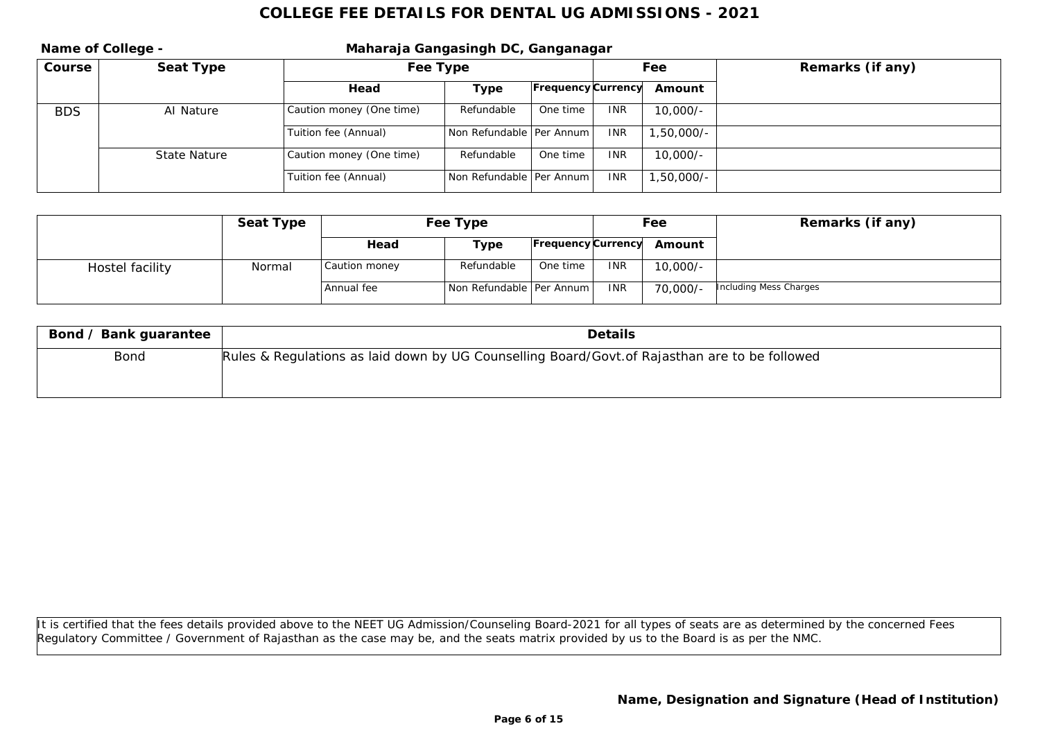|            | Name of College - | Maharaja Gangasingh DC, Ganganagar |                            |                           |            |              |                  |  |
|------------|-------------------|------------------------------------|----------------------------|---------------------------|------------|--------------|------------------|--|
| Course     | Seat Type         | Fee Type                           |                            |                           | Fee        |              | Remarks (if any) |  |
|            |                   | Head                               | Type                       | <b>Frequency Currency</b> |            | Amount       |                  |  |
| <b>BDS</b> | Al Nature         | Caution money (One time)           | Refundable                 | One time                  | <b>INR</b> | $10.000/-$   |                  |  |
|            |                   | Tuition fee (Annual)               | Non Refundable   Per Annum |                           | <b>INR</b> | $1,50,000/-$ |                  |  |
|            | State Nature      | Caution money (One time)           | Refundable                 | One time                  | <b>INR</b> | $10,000/-$   |                  |  |
|            |                   | Tuition fee (Annual)               | Non Refundable   Per Annum |                           | <b>INR</b> | 1,50,000/-   |                  |  |

|                 | Seat Type | Fee Type      |                            |                    | Fee        |            | Remarks (if any)       |
|-----------------|-----------|---------------|----------------------------|--------------------|------------|------------|------------------------|
|                 |           | Head          | Type                       | Frequency Currency |            | Amount     |                        |
| Hostel facility | Normal    | Caution money | Refundable                 | One time           | <b>INR</b> | $10,000/-$ |                        |
|                 |           | Annual fee    | Non Refundable   Per Annum |                    | <b>INR</b> | 70,000/-   | Including Mess Charges |

| Bond / Bank guarantee | Details                                                                                       |
|-----------------------|-----------------------------------------------------------------------------------------------|
| Bond                  | Rules & Regulations as laid down by UG Counselling Board/Govt.of Rajasthan are to be followed |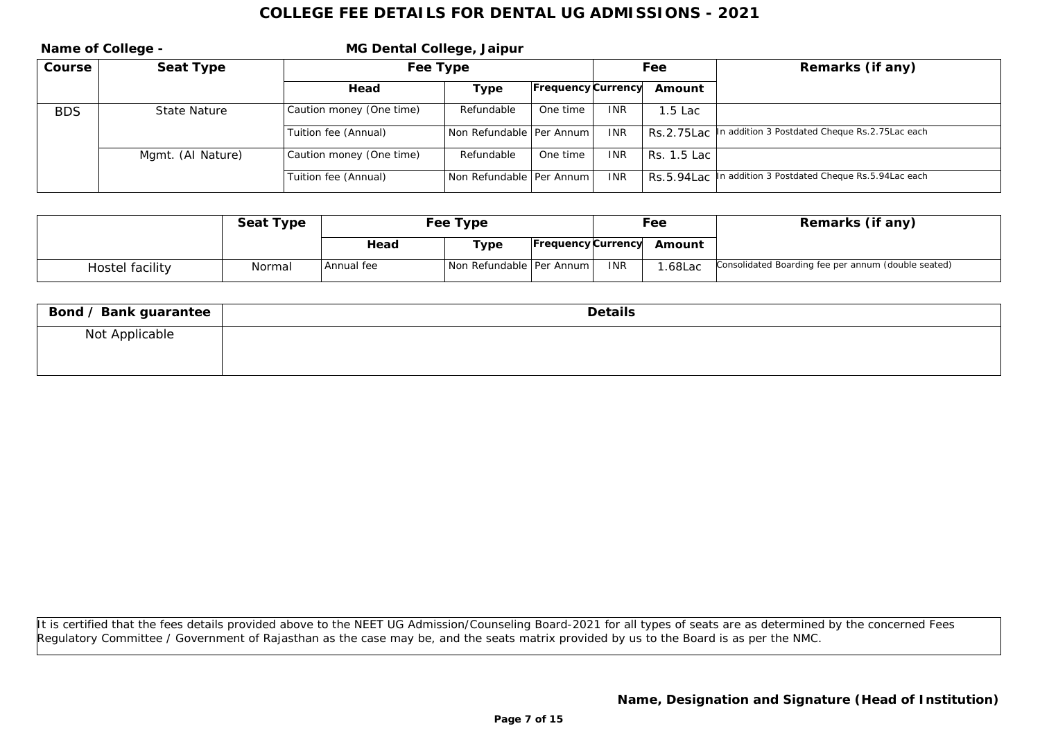|            | Name of College - | MG Dental College, Jaipur |                            |                           |            |             |                                                           |  |
|------------|-------------------|---------------------------|----------------------------|---------------------------|------------|-------------|-----------------------------------------------------------|--|
| Course     | Seat Type         | Fee Type                  |                            |                           | Fee        |             | Remarks (if any)                                          |  |
|            |                   | Head                      | Type                       | <b>Frequency Currency</b> |            | Amount      |                                                           |  |
| <b>BDS</b> | State Nature      | Caution money (One time)  | Refundable                 | One time                  | <b>INR</b> | 1.5 Lac     |                                                           |  |
|            |                   | Tuition fee (Annual)      | Non Refundable   Per Annum |                           | <b>INR</b> | Rs.2.75Lac  | In addition 3 Postdated Cheque Rs. 2.75 Lac each          |  |
|            | Mgmt. (AI Nature) | Caution money (One time)  | Refundable                 | One time                  | <b>INR</b> | Rs. 1.5 Lac |                                                           |  |
|            |                   | Tuition fee (Annual)      | Non Refundable   Per Annum |                           | <b>INR</b> |             | RS.5.94Lac In addition 3 Postdated Cheque Rs.5.94Lac each |  |

|                 | Seat Type | Fee Type     |                            |                    | Fee        |        | Remarks (if any)                                    |
|-----------------|-----------|--------------|----------------------------|--------------------|------------|--------|-----------------------------------------------------|
|                 |           | Head         | туре                       | Frequency Currency |            | Amount |                                                     |
| Hostel facility | Normal    | l Annual fee | Non Refundable   Per Annum |                    | <b>INR</b> | .68Lac | Consolidated Boarding fee per annum (double seated) |

| Bond / Bank guarantee | Details |
|-----------------------|---------|
| Not Applicable        |         |
|                       |         |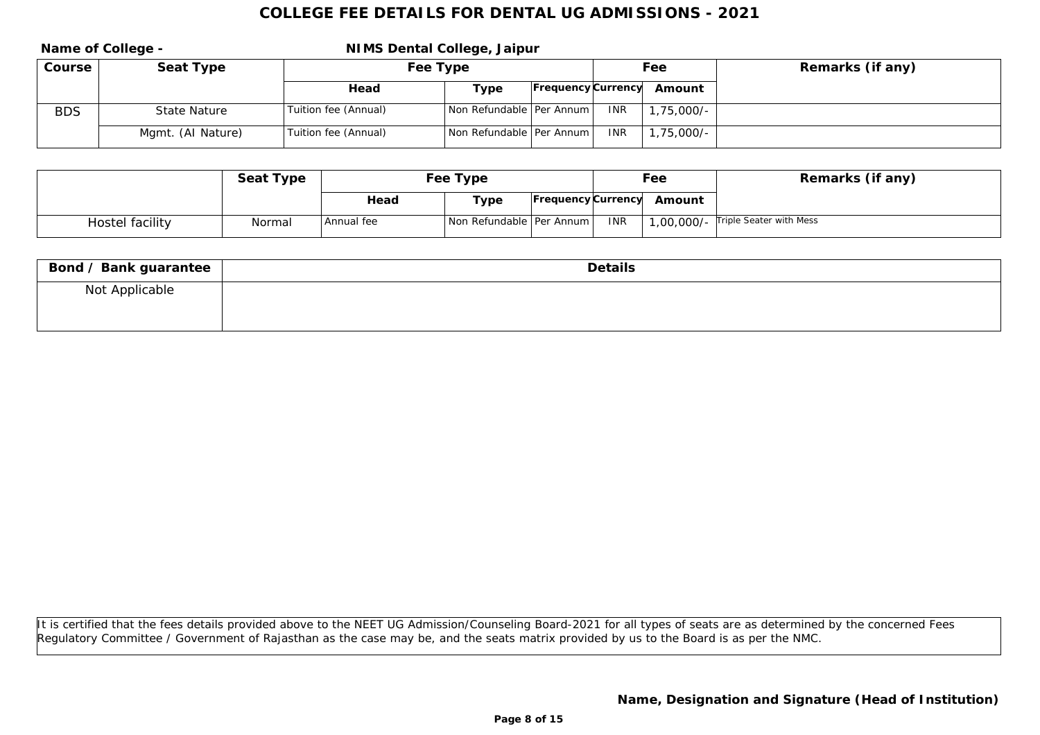|            | Name of College - | NIMS Dental College, Jaipur |                            |  |            |                           |                  |
|------------|-------------------|-----------------------------|----------------------------|--|------------|---------------------------|------------------|
| Course     | Seat Type         | Fee Type                    |                            |  | Fee        |                           | Remarks (if any) |
|            |                   | Head                        | Type                       |  |            | Frequency Currency Amount |                  |
| <b>BDS</b> | State Nature      | Tuition fee (Annual)        | Non Refundable   Per Annum |  | <b>INR</b> | $1,75,000/-$              |                  |
|            | Mgmt. (AI Nature) | Tuition fee (Annual)        | Non Refundable   Per Annum |  | INR.       | 1,75,000/-                |                  |

|                 | Seat Type | Fee Type   |                            |  | Fee        |                           | Remarks (if any)                   |
|-----------------|-----------|------------|----------------------------|--|------------|---------------------------|------------------------------------|
|                 |           | Head       | Type                       |  |            | Frequency Currency Amount |                                    |
| Hostel facility | Normal    | Annual fee | Non Refundable   Per Annum |  | <b>INR</b> |                           | 1,00,000/- Triple Seater with Mess |

| Bond / Bank guarantee | Details |
|-----------------------|---------|
| Not Applicable        |         |
|                       |         |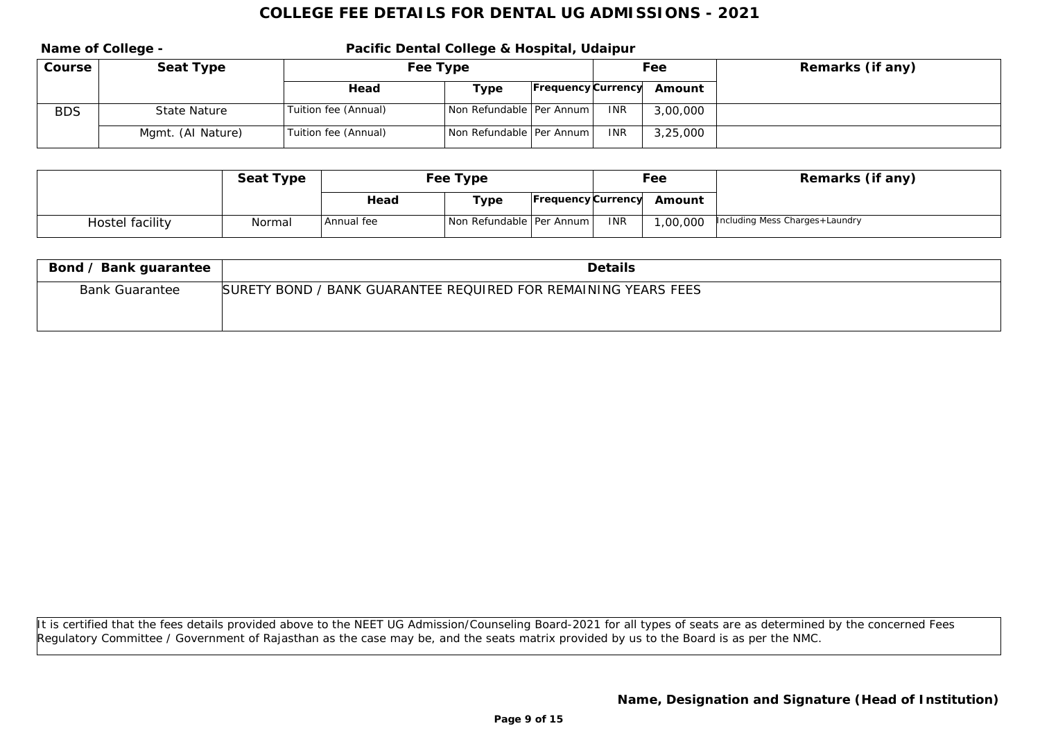**Name of College - Pacific Dental College & Hospital, Udaipur Course Seat Type Fee Type Fee Type Fee Fee Remarks** (if any) **Head Type Frequency Currency Amount** BDS State Nature Tuition fee (Annual) Non Refundable Per Annum INR 3,00,000 Mgmt. (AI Nature) Tuition fee (Annual) Non Refundable Per Annum INR 3,25,000

|                 | Seat Type | Fee Type     |                            |  |     | Fee                       | Remarks (if any)               |
|-----------------|-----------|--------------|----------------------------|--|-----|---------------------------|--------------------------------|
|                 |           | Head         | Type                       |  |     | Frequency Currency Amount |                                |
| Hostel facility | Normal    | l Annual fee | Non Refundable   Per Annum |  | INR | ,00,000                   | Including Mess Charges+Laundry |

| Bond / Bank guarantee | <b>Details</b>                                                 |
|-----------------------|----------------------------------------------------------------|
| <b>Bank Guarantee</b> | SURETY BOND / BANK GUARANTEE REQUIRED FOR REMAINING YEARS FEES |
|                       |                                                                |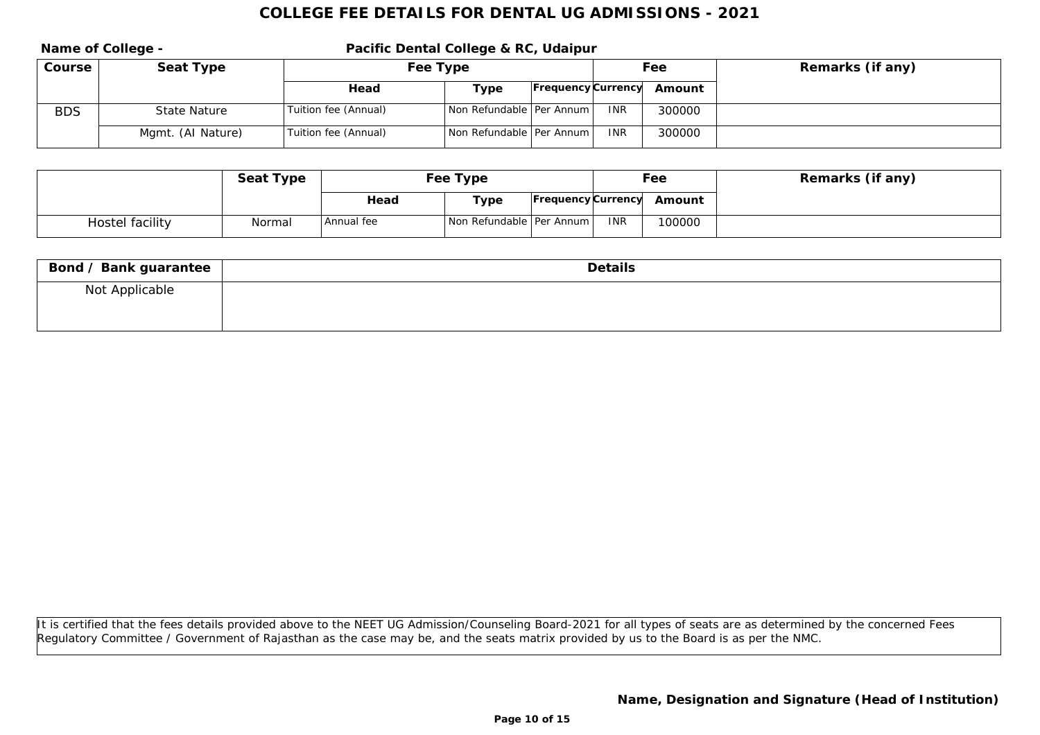Name of College - **Pacific Dental College & RC, Udaipur Course Seat Type Fee Type Fee Type Fee Fee Remarks** (if any) **Head Type Frequency Currency Amount** BDS State Nature Tuition fee (Annual) Non Refundable Per Annum INR 300000 Mgmt. (AI Nature) Tuition fee (Annual) Non Refundable Per Annum INR 300000

|                 | Seat Type | Fee Type   |                            |  | Fee        |                           | Remarks (if any) |
|-----------------|-----------|------------|----------------------------|--|------------|---------------------------|------------------|
|                 |           | Head       | Type                       |  |            | Frequency Currency Amount |                  |
| Hostel facility | Normal    | Annual fee | Non Refundable   Per Annum |  | <b>INR</b> | 100000                    |                  |

| Bond / Bank guarantee | Details |
|-----------------------|---------|
| Not Applicable        |         |
|                       |         |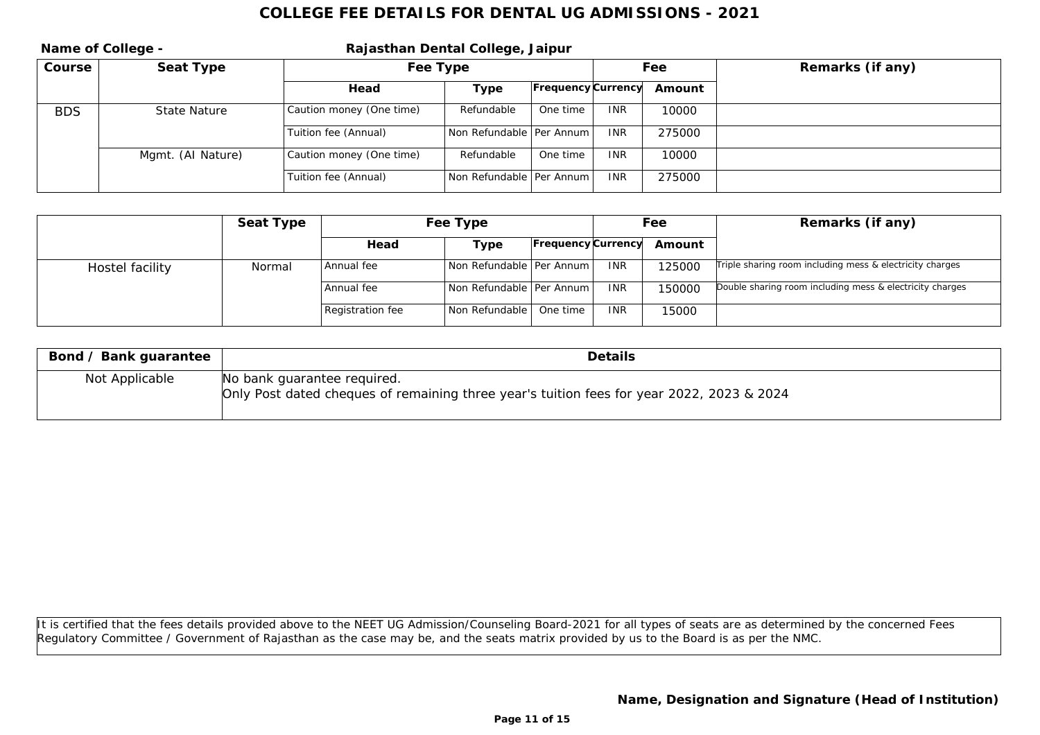|            | Name of College - | Rajasthan Dental College, Jaipur |                            |                           |            |        |                  |  |  |
|------------|-------------------|----------------------------------|----------------------------|---------------------------|------------|--------|------------------|--|--|
| Course     | Seat Type         | Fee Type                         |                            |                           | Fee        |        | Remarks (if any) |  |  |
|            |                   | Head                             | Type                       | <b>Frequency Currency</b> |            | Amount |                  |  |  |
| <b>BDS</b> | State Nature      | Caution money (One time)         | Refundable                 | One time                  | <b>INR</b> | 10000  |                  |  |  |
|            |                   | Tuition fee (Annual)             | Non Refundable   Per Annum |                           | <b>INR</b> | 275000 |                  |  |  |
|            | Mgmt. (AI Nature) | Caution money (One time)         | Refundable                 | One time                  | <b>INR</b> | 10000  |                  |  |  |
|            |                   | Tuition fee (Annual)             | Non Refundable   Per Annum |                           | <b>INR</b> | 275000 |                  |  |  |

|                 | Seat Type | Fee Type         |                              |                           | Fee        |        | Remarks (if any)                                         |
|-----------------|-----------|------------------|------------------------------|---------------------------|------------|--------|----------------------------------------------------------|
|                 |           | Head             | Type                         | <b>Frequency</b> Currency |            | Amount |                                                          |
| Hostel facility | Normal    | Annual fee       | l Non Refundable   Per Annum |                           | <b>INR</b> | 25000  | Triple sharing room including mess & electricity charges |
|                 |           | Annual fee       | Non Refundable   Per Annum   |                           | <b>INR</b> | 150000 | Double sharing room including mess & electricity charges |
|                 |           | Registration fee | Non Refundable   One time    |                           | <b>INR</b> | 15000  |                                                          |

| Bond / Bank guarantee | Details                                                                                                                  |
|-----------------------|--------------------------------------------------------------------------------------------------------------------------|
| Not Applicable        | No bank guarantee required.<br>Only Post dated cheques of remaining three year's tuition fees for year 2022, 2023 & 2024 |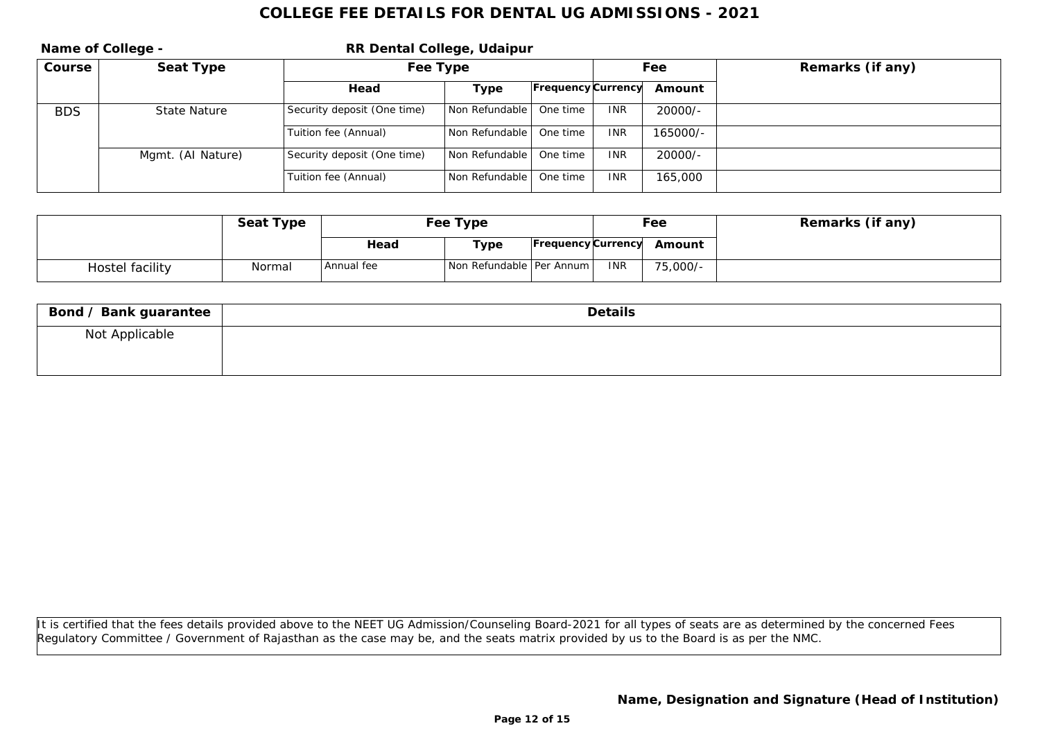|            | Name of College - | RR Dental College, Udaipur  |                    |                           |            |           |                  |  |
|------------|-------------------|-----------------------------|--------------------|---------------------------|------------|-----------|------------------|--|
| Course     | Seat Type         | Fee Type                    |                    |                           | Fee        |           | Remarks (if any) |  |
|            |                   | Head                        | Type               | <b>Frequency Currency</b> |            | Amount    |                  |  |
| <b>BDS</b> | State Nature      | Security deposit (One time) | l Non Refundable l | One time                  | <b>INR</b> | $20000/-$ |                  |  |
|            |                   | Tuition fee (Annual)        | Non Refundable     | One time                  | <b>INR</b> | 165000/-  |                  |  |
|            | Mgmt. (Al Nature) | Security deposit (One time) | l Non Refundable l | One time                  | <b>INR</b> | $20000/-$ |                  |  |
|            |                   | Tuition fee (Annual)        | Non Refundable     | One time                  | <b>INR</b> | 165,000   |                  |  |

|                 | Seat Type | Fee Type   |                            |                    |     | Fee      | Remarks (if any) |
|-----------------|-----------|------------|----------------------------|--------------------|-----|----------|------------------|
|                 |           | Head       | Type                       | Frequency Currency |     | Amount   |                  |
| Hostel facility | Normal    | Annual fee | Non Refundable   Per Annum |                    | INR | 75,000/- |                  |

| Bond / Bank guarantee | Details |
|-----------------------|---------|
| Not Applicable        |         |
|                       |         |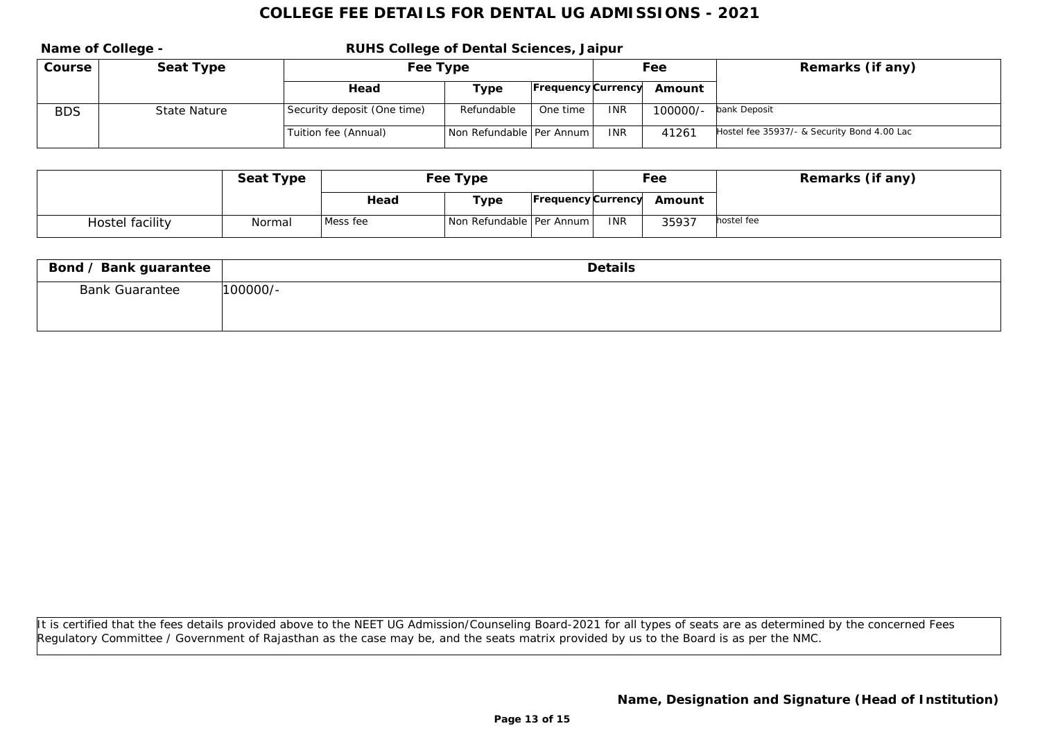**Name of College - RUHS College of Dental Sciences, Jaipur Course Seat Type Fee Type Fee Remarks (if any) Head Type Frequency Currency Amount** BDS State Nature Security deposit (One time) Refundable One time INR 100000/- bank Deposit Tuition fee (Annual) Non Refundable Per Annum INR 41261 Hostel fee 35937/- & Security Bond 4.00 Lac

|                 | Seat Type | Fee Type |                            |  | Fee        |                           | Remarks (if any) |
|-----------------|-----------|----------|----------------------------|--|------------|---------------------------|------------------|
|                 |           | Head     | Type                       |  |            | Frequency Currency Amount |                  |
| Hostel facility | Normal    | Mess fee | Non Refundable   Per Annum |  | <b>INR</b> | 35937                     | hostel fee       |

| Bond / Bank guarantee | Details    |
|-----------------------|------------|
| <b>Bank Guarantee</b> | $100000/-$ |
|                       |            |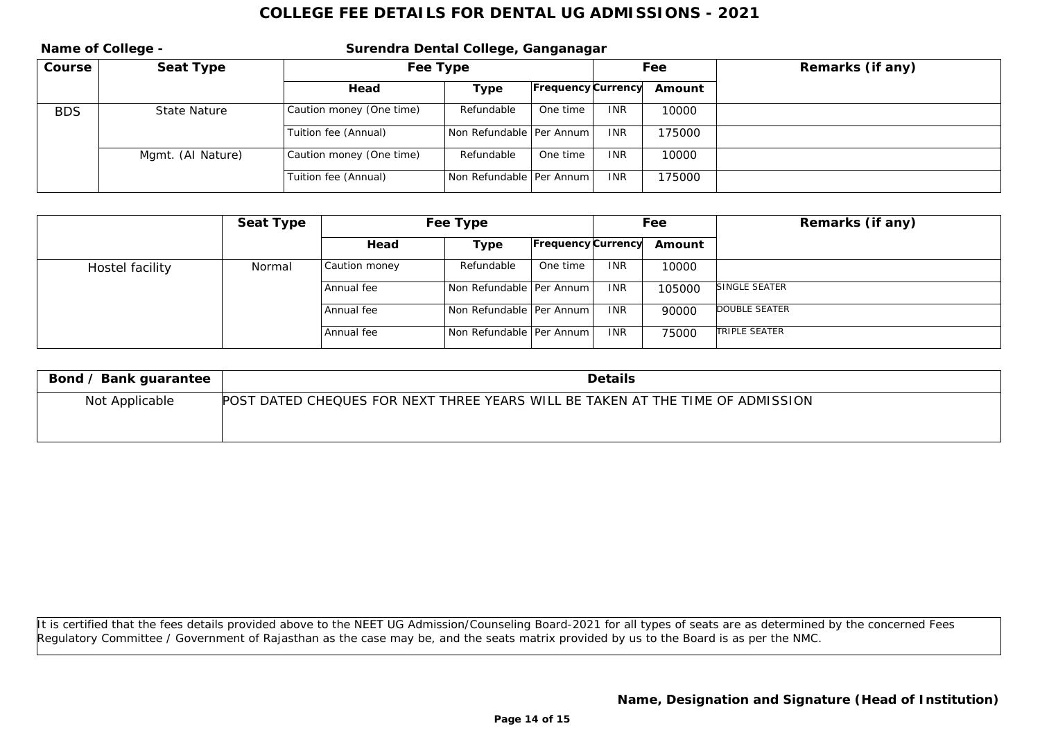|            | Name of College - | Surendra Dental College, Ganganagar |                            |                    |            |        |                  |  |  |
|------------|-------------------|-------------------------------------|----------------------------|--------------------|------------|--------|------------------|--|--|
| Course     | Seat Type         | Fee Type                            |                            |                    | Fee        |        | Remarks (if any) |  |  |
|            |                   | Head                                | Type                       | Frequency Currency |            | Amount |                  |  |  |
| <b>BDS</b> | State Nature      | Caution money (One time)            | Refundable                 | One time           | <b>INR</b> | 10000  |                  |  |  |
|            |                   | Tuition fee (Annual)                | Non Refundable   Per Annum |                    | <b>INR</b> | 175000 |                  |  |  |
|            | Mgmt. (AI Nature) | Caution money (One time)            | Refundable                 | One time           | <b>INR</b> | 10000  |                  |  |  |
|            |                   | Tuition fee (Annual)                | Non Refundable   Per Annum |                    | <b>INR</b> | 175000 |                  |  |  |

|                 | Seat Type |               | Fee Type                     |                    |            | Fee    | Remarks (if any) |
|-----------------|-----------|---------------|------------------------------|--------------------|------------|--------|------------------|
|                 |           | Head          | Type                         | Frequency Currency |            | Amount |                  |
| Hostel facility | Normal    | Caution money | Refundable                   | One time           | <b>INR</b> | 10000  |                  |
|                 |           | Annual fee    | Non Refundable Per Annum L   |                    | <b>INR</b> | 105000 | SINGLE SEATER    |
|                 |           | Annual fee    | l Non Refundable   Per Annum |                    | <b>INR</b> | 90000  | DOUBLE SEATER    |
|                 |           | Annual fee    | Non Refundable Per Annum L   |                    | <b>INR</b> | 75000  | TRIPLE SEATER    |

| Bond / Bank guarantee | <b>Details</b>                                                                 |
|-----------------------|--------------------------------------------------------------------------------|
| Not Applicable        | POST DATED CHEQUES FOR NEXT THREE YEARS WILL BE TAKEN AT THE TIME OF ADMISSION |
|                       |                                                                                |